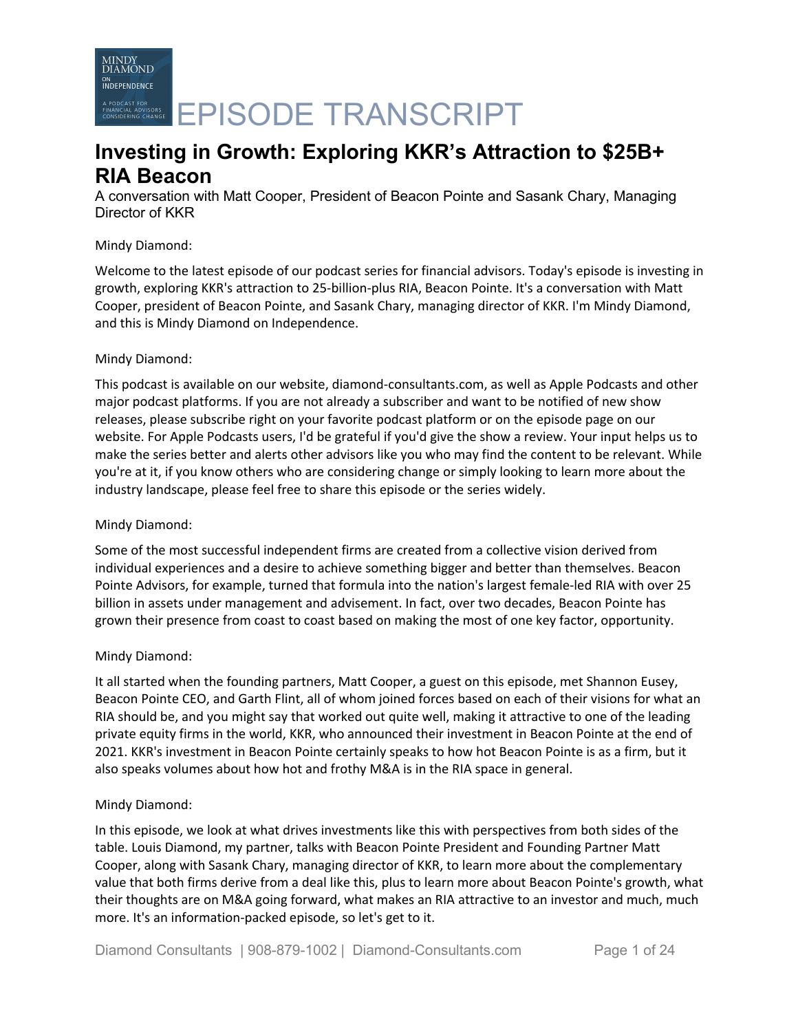

# **Investing in Growth: Exploring KKR's Attraction to \$25B+ RIA Beacon**

A conversation with Matt Cooper, President of Beacon Pointe and Sasank Chary, Managing Director of KKR

## Mindy Diamond:

Welcome to the latest episode of our podcast series for financial advisors. Today's episode is investing in growth, exploring KKR's attraction to 25-billion-plus RIA, Beacon Pointe. It's a conversation with Matt Cooper, president of Beacon Pointe, and Sasank Chary, managing director of KKR. I'm Mindy Diamond, and this is Mindy Diamond on Independence.

## Mindy Diamond:

This podcast is available on our website, diamond-consultants.com, as well as Apple Podcasts and other major podcast platforms. If you are not already a subscriber and want to be notified of new show releases, please subscribe right on your favorite podcast platform or on the episode page on our website. For Apple Podcasts users, I'd be grateful if you'd give the show a review. Your input helps us to make the series better and alerts other advisors like you who may find the content to be relevant. While you're at it, if you know others who are considering change or simply looking to learn more about the industry landscape, please feel free to share this episode or the series widely.

# Mindy Diamond:

Some of the most successful independent firms are created from a collective vision derived from individual experiences and a desire to achieve something bigger and better than themselves. Beacon Pointe Advisors, for example, turned that formula into the nation's largest female-led RIA with over 25 billion in assets under management and advisement. In fact, over two decades, Beacon Pointe has grown their presence from coast to coast based on making the most of one key factor, opportunity.

# Mindy Diamond:

It all started when the founding partners, Matt Cooper, a guest on this episode, met Shannon Eusey, Beacon Pointe CEO, and Garth Flint, all of whom joined forces based on each of their visions for what an RIA should be, and you might say that worked out quite well, making it attractive to one of the leading private equity firms in the world, KKR, who announced their investment in Beacon Pointe at the end of 2021. KKR's investment in Beacon Pointe certainly speaks to how hot Beacon Pointe is as a firm, but it also speaks volumes about how hot and frothy M&A is in the RIA space in general.

### Mindy Diamond:

In this episode, we look at what drives investments like this with perspectives from both sides of the table. Louis Diamond, my partner, talks with Beacon Pointe President and Founding Partner Matt Cooper, along with Sasank Chary, managing director of KKR, to learn more about the complementary value that both firms derive from a deal like this, plus to learn more about Beacon Pointe's growth, what their thoughts are on M&A going forward, what makes an RIA attractive to an investor and much, much more. It's an information-packed episode, so let's get to it.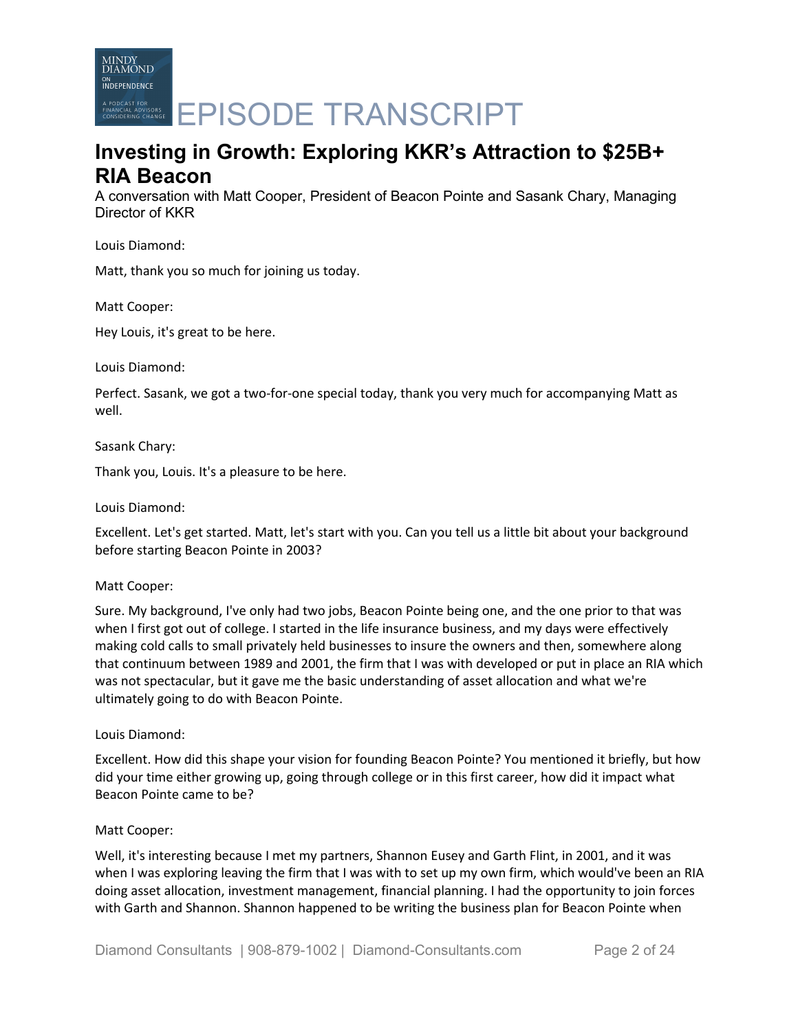

# **Investing in Growth: Exploring KKR's Attraction to \$25B+ RIA Beacon**

A conversation with Matt Cooper, President of Beacon Pointe and Sasank Chary, Managing Director of KKR

Louis Diamond:

Matt, thank you so much for joining us today.

Matt Cooper:

Hey Louis, it's great to be here.

Louis Diamond:

Perfect. Sasank, we got a two-for-one special today, thank you very much for accompanying Matt as well.

Sasank Chary:

Thank you, Louis. It's a pleasure to be here.

Louis Diamond:

Excellent. Let's get started. Matt, let's start with you. Can you tell us a little bit about your background before starting Beacon Pointe in 2003?

### Matt Cooper:

Sure. My background, I've only had two jobs, Beacon Pointe being one, and the one prior to that was when I first got out of college. I started in the life insurance business, and my days were effectively making cold calls to small privately held businesses to insure the owners and then, somewhere along that continuum between 1989 and 2001, the firm that I was with developed or put in place an RIA which was not spectacular, but it gave me the basic understanding of asset allocation and what we're ultimately going to do with Beacon Pointe.

# Louis Diamond:

Excellent. How did this shape your vision for founding Beacon Pointe? You mentioned it briefly, but how did your time either growing up, going through college or in this first career, how did it impact what Beacon Pointe came to be?

### Matt Cooper:

Well, it's interesting because I met my partners, Shannon Eusey and Garth Flint, in 2001, and it was when I was exploring leaving the firm that I was with to set up my own firm, which would've been an RIA doing asset allocation, investment management, financial planning. I had the opportunity to join forces with Garth and Shannon. Shannon happened to be writing the business plan for Beacon Pointe when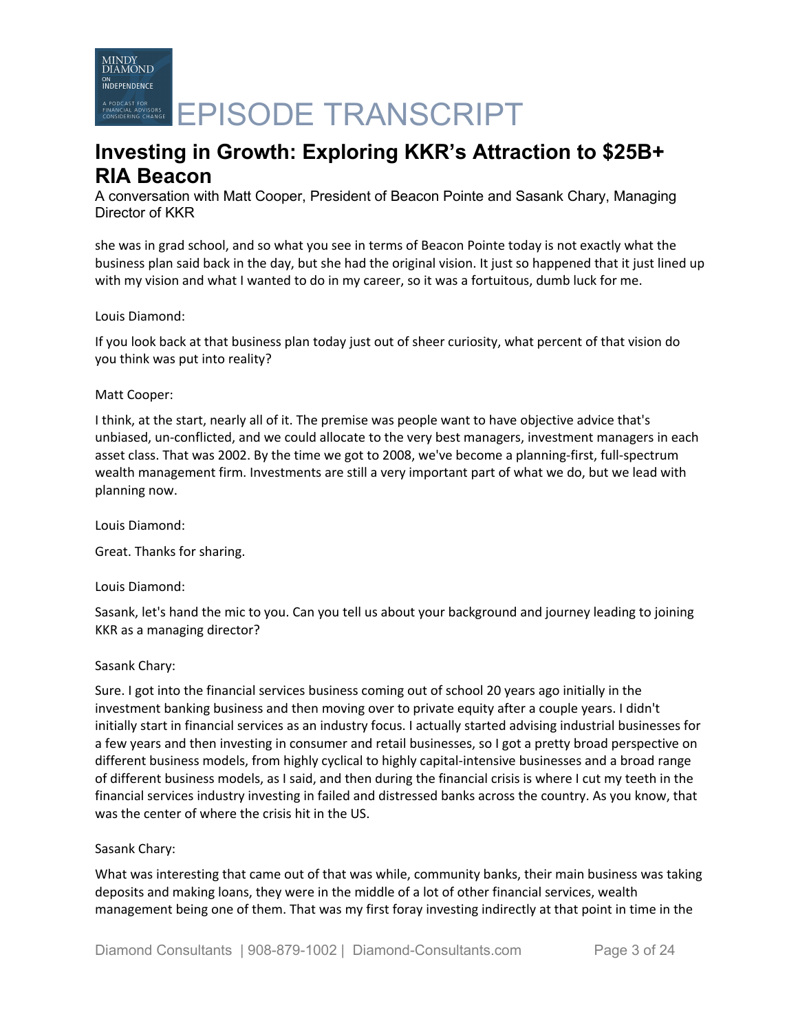A PODCAST FOR CHARGE **EPISODE TRANSCRIPT** 

# **Investing in Growth: Exploring KKR's Attraction to \$25B+ RIA Beacon**

A conversation with Matt Cooper, President of Beacon Pointe and Sasank Chary, Managing Director of KKR

she was in grad school, and so what you see in terms of Beacon Pointe today is not exactly what the business plan said back in the day, but she had the original vision. It just so happened that it just lined up with my vision and what I wanted to do in my career, so it was a fortuitous, dumb luck for me.

## Louis Diamond:

If you look back at that business plan today just out of sheer curiosity, what percent of that vision do you think was put into reality?

### Matt Cooper:

I think, at the start, nearly all of it. The premise was people want to have objective advice that's unbiased, un-conflicted, and we could allocate to the very best managers, investment managers in each asset class. That was 2002. By the time we got to 2008, we've become a planning-first, full-spectrum wealth management firm. Investments are still a very important part of what we do, but we lead with planning now.

Louis Diamond:

Great. Thanks for sharing.

Louis Diamond:

Sasank, let's hand the mic to you. Can you tell us about your background and journey leading to joining KKR as a managing director?

### Sasank Chary:

Sure. I got into the financial services business coming out of school 20 years ago initially in the investment banking business and then moving over to private equity after a couple years. I didn't initially start in financial services as an industry focus. I actually started advising industrial businesses for a few years and then investing in consumer and retail businesses, so I got a pretty broad perspective on different business models, from highly cyclical to highly capital-intensive businesses and a broad range of different business models, as I said, and then during the financial crisis is where I cut my teeth in the financial services industry investing in failed and distressed banks across the country. As you know, that was the center of where the crisis hit in the US.

# Sasank Chary:

What was interesting that came out of that was while, community banks, their main business was taking deposits and making loans, they were in the middle of a lot of other financial services, wealth management being one of them. That was my first foray investing indirectly at that point in time in the

Diamond Consultants | 908-879-1002 | Diamond-Consultants.com Page 3 of 24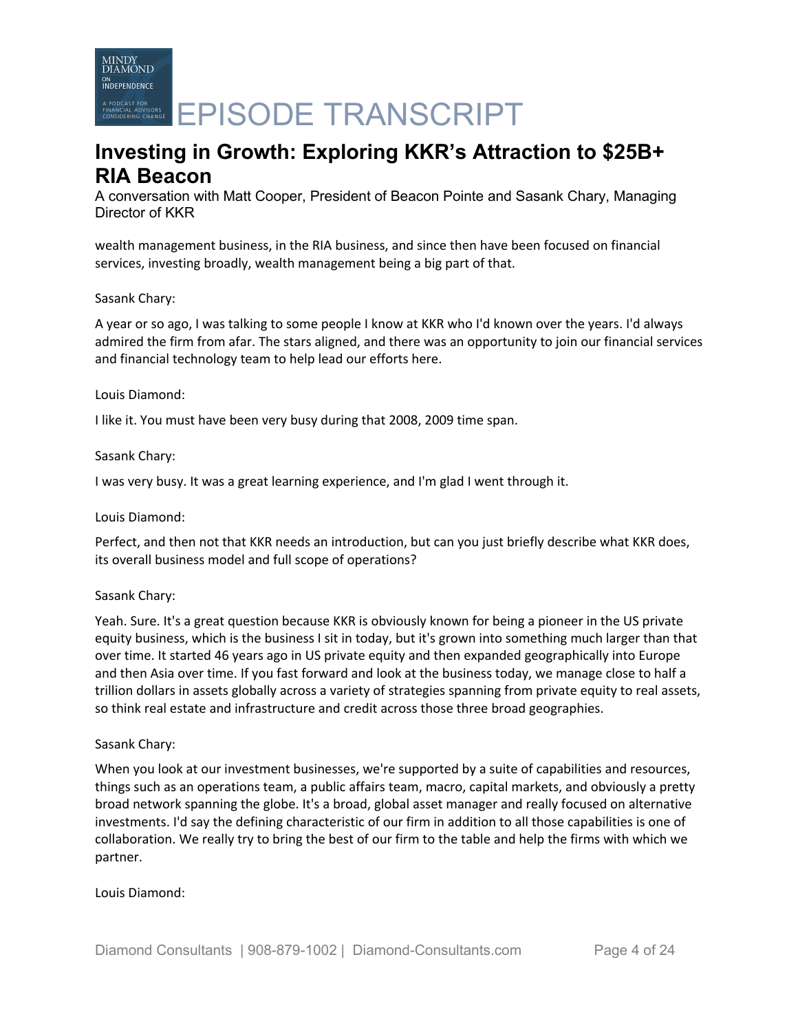MINDY<br>DIAMOND **INDEPENDENCE** A PODCAST FOR CRANSCRIPT

# **Investing in Growth: Exploring KKR's Attraction to \$25B+ RIA Beacon**

A conversation with Matt Cooper, President of Beacon Pointe and Sasank Chary, Managing Director of KKR

wealth management business, in the RIA business, and since then have been focused on financial services, investing broadly, wealth management being a big part of that.

# Sasank Chary:

A year or so ago, I was talking to some people I know at KKR who I'd known over the years. I'd always admired the firm from afar. The stars aligned, and there was an opportunity to join our financial services and financial technology team to help lead our efforts here.

## Louis Diamond:

I like it. You must have been very busy during that 2008, 2009 time span.

# Sasank Chary:

I was very busy. It was a great learning experience, and I'm glad I went through it.

### Louis Diamond:

Perfect, and then not that KKR needs an introduction, but can you just briefly describe what KKR does, its overall business model and full scope of operations?

### Sasank Chary:

Yeah. Sure. It's a great question because KKR is obviously known for being a pioneer in the US private equity business, which is the business I sit in today, but it's grown into something much larger than that over time. It started 46 years ago in US private equity and then expanded geographically into Europe and then Asia over time. If you fast forward and look at the business today, we manage close to half a trillion dollars in assets globally across a variety of strategies spanning from private equity to real assets, so think real estate and infrastructure and credit across those three broad geographies.

### Sasank Chary:

When you look at our investment businesses, we're supported by a suite of capabilities and resources, things such as an operations team, a public affairs team, macro, capital markets, and obviously a pretty broad network spanning the globe. It's a broad, global asset manager and really focused on alternative investments. I'd say the defining characteristic of our firm in addition to all those capabilities is one of collaboration. We really try to bring the best of our firm to the table and help the firms with which we partner.

### Louis Diamond: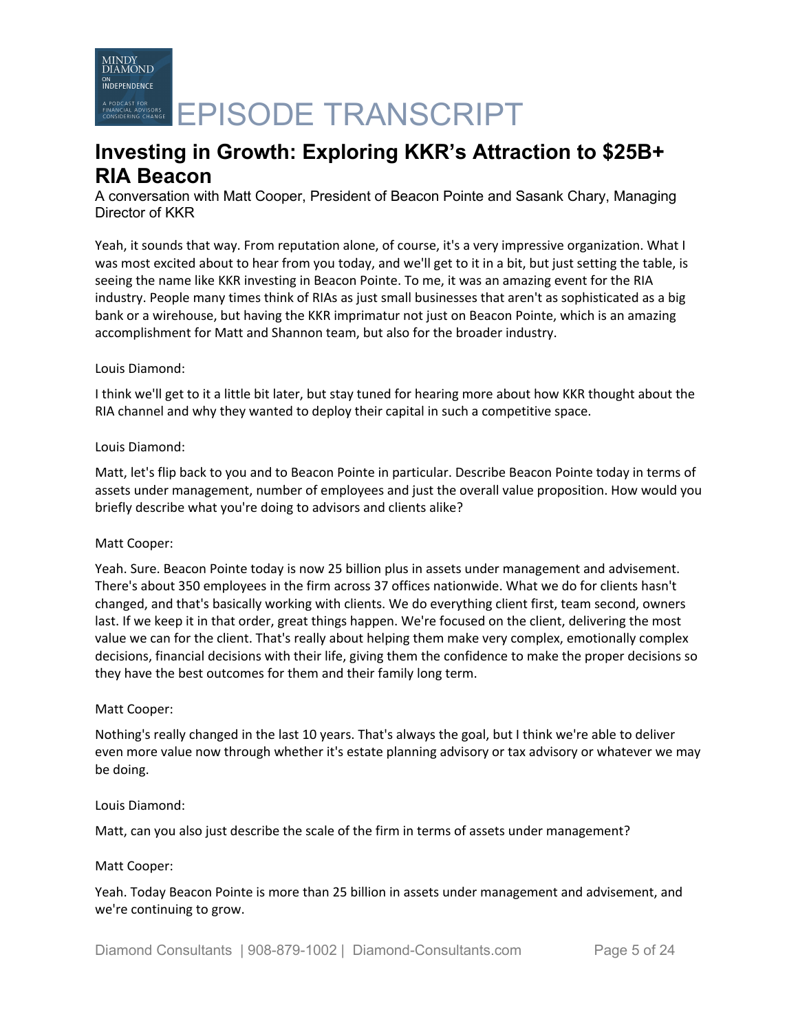A PODCAST FOR CHARGE **EPISODE TRANSCRIPT** 

# **Investing in Growth: Exploring KKR's Attraction to \$25B+ RIA Beacon**

A conversation with Matt Cooper, President of Beacon Pointe and Sasank Chary, Managing Director of KKR

Yeah, it sounds that way. From reputation alone, of course, it's a very impressive organization. What I was most excited about to hear from you today, and we'll get to it in a bit, but just setting the table, is seeing the name like KKR investing in Beacon Pointe. To me, it was an amazing event for the RIA industry. People many times think of RIAs as just small businesses that aren't as sophisticated as a big bank or a wirehouse, but having the KKR imprimatur not just on Beacon Pointe, which is an amazing accomplishment for Matt and Shannon team, but also for the broader industry.

# Louis Diamond:

I think we'll get to it a little bit later, but stay tuned for hearing more about how KKR thought about the RIA channel and why they wanted to deploy their capital in such a competitive space.

## Louis Diamond:

Matt, let's flip back to you and to Beacon Pointe in particular. Describe Beacon Pointe today in terms of assets under management, number of employees and just the overall value proposition. How would you briefly describe what you're doing to advisors and clients alike?

### Matt Cooper:

Yeah. Sure. Beacon Pointe today is now 25 billion plus in assets under management and advisement. There's about 350 employees in the firm across 37 offices nationwide. What we do for clients hasn't changed, and that's basically working with clients. We do everything client first, team second, owners last. If we keep it in that order, great things happen. We're focused on the client, delivering the most value we can for the client. That's really about helping them make very complex, emotionally complex decisions, financial decisions with their life, giving them the confidence to make the proper decisions so they have the best outcomes for them and their family long term.

### Matt Cooper:

Nothing's really changed in the last 10 years. That's always the goal, but I think we're able to deliver even more value now through whether it's estate planning advisory or tax advisory or whatever we may be doing.

### Louis Diamond:

Matt, can you also just describe the scale of the firm in terms of assets under management?

### Matt Cooper:

Yeah. Today Beacon Pointe is more than 25 billion in assets under management and advisement, and we're continuing to grow.

Diamond Consultants | 908-879-1002 | Diamond-Consultants.com Page 5 of 24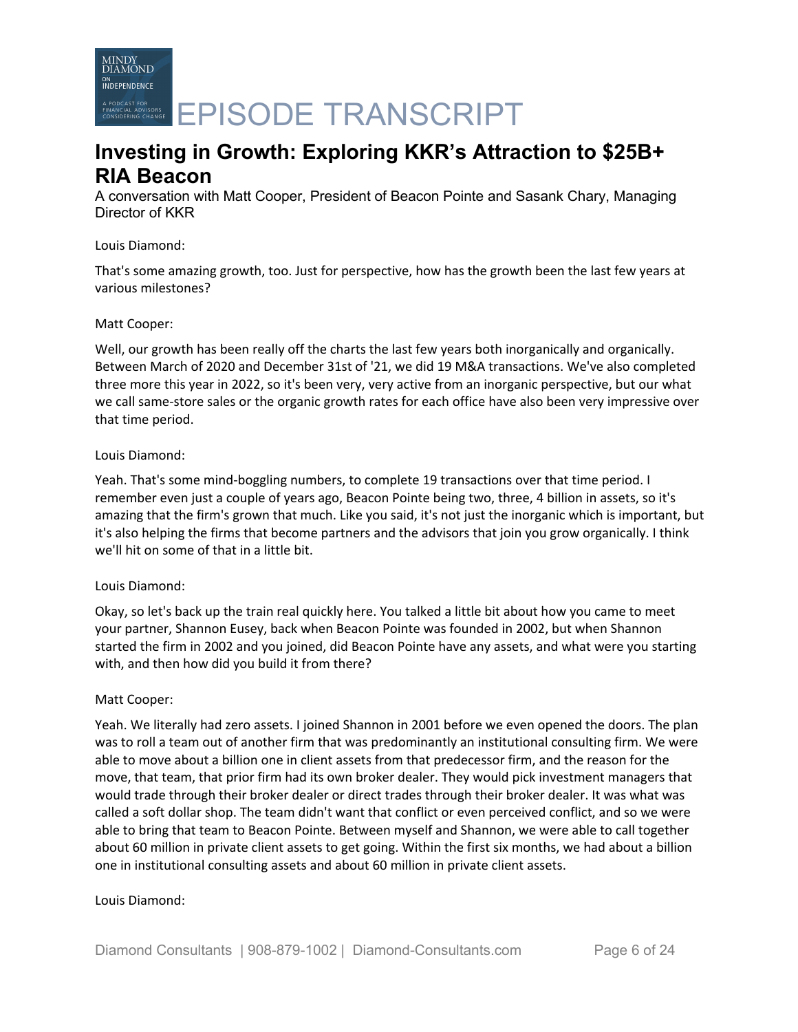

# **Investing in Growth: Exploring KKR's Attraction to \$25B+ RIA Beacon**

A conversation with Matt Cooper, President of Beacon Pointe and Sasank Chary, Managing Director of KKR

## Louis Diamond:

That's some amazing growth, too. Just for perspective, how has the growth been the last few years at various milestones?

## Matt Cooper:

Well, our growth has been really off the charts the last few years both inorganically and organically. Between March of 2020 and December 31st of '21, we did 19 M&A transactions. We've also completed three more this year in 2022, so it's been very, very active from an inorganic perspective, but our what we call same-store sales or the organic growth rates for each office have also been very impressive over that time period.

## Louis Diamond:

Yeah. That's some mind-boggling numbers, to complete 19 transactions over that time period. I remember even just a couple of years ago, Beacon Pointe being two, three, 4 billion in assets, so it's amazing that the firm's grown that much. Like you said, it's not just the inorganic which is important, but it's also helping the firms that become partners and the advisors that join you grow organically. I think we'll hit on some of that in a little bit.

# Louis Diamond:

Okay, so let's back up the train real quickly here. You talked a little bit about how you came to meet your partner, Shannon Eusey, back when Beacon Pointe was founded in 2002, but when Shannon started the firm in 2002 and you joined, did Beacon Pointe have any assets, and what were you starting with, and then how did you build it from there?

### Matt Cooper:

Yeah. We literally had zero assets. I joined Shannon in 2001 before we even opened the doors. The plan was to roll a team out of another firm that was predominantly an institutional consulting firm. We were able to move about a billion one in client assets from that predecessor firm, and the reason for the move, that team, that prior firm had its own broker dealer. They would pick investment managers that would trade through their broker dealer or direct trades through their broker dealer. It was what was called a soft dollar shop. The team didn't want that conflict or even perceived conflict, and so we were able to bring that team to Beacon Pointe. Between myself and Shannon, we were able to call together about 60 million in private client assets to get going. Within the first six months, we had about a billion one in institutional consulting assets and about 60 million in private client assets.

# Louis Diamond: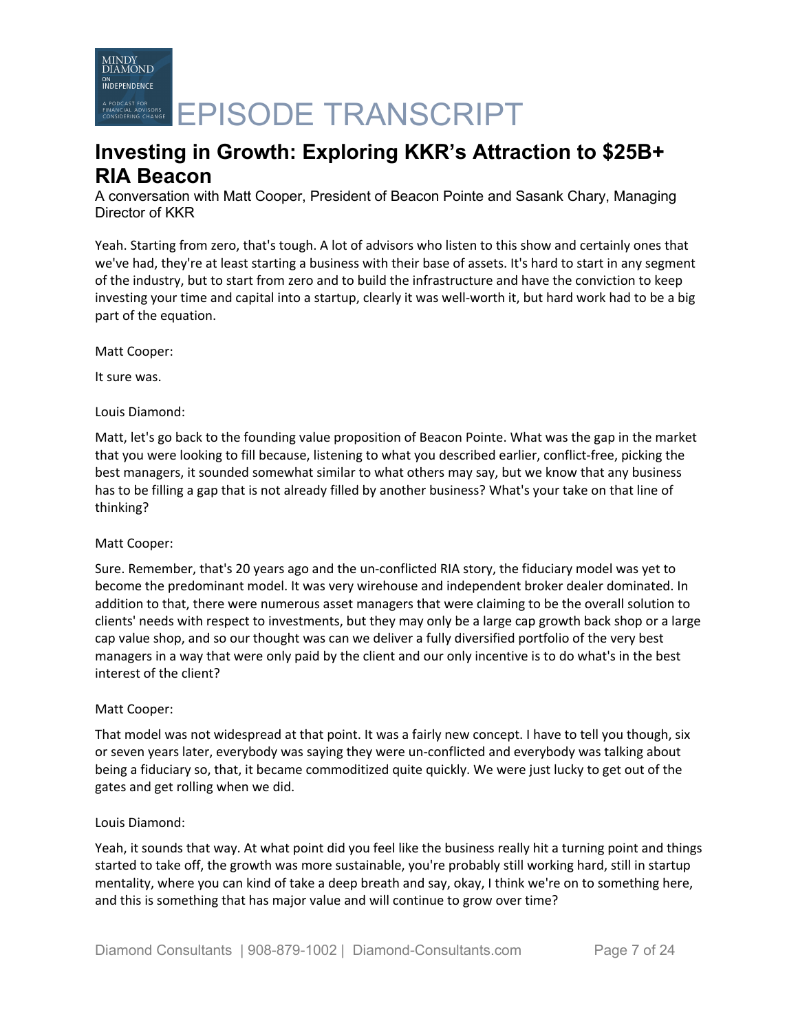**EPISODE TRANSCRIPT** 

# **Investing in Growth: Exploring KKR's Attraction to \$25B+ RIA Beacon**

A conversation with Matt Cooper, President of Beacon Pointe and Sasank Chary, Managing Director of KKR

Yeah. Starting from zero, that's tough. A lot of advisors who listen to this show and certainly ones that we've had, they're at least starting a business with their base of assets. It's hard to start in any segment of the industry, but to start from zero and to build the infrastructure and have the conviction to keep investing your time and capital into a startup, clearly it was well-worth it, but hard work had to be a big part of the equation.

Matt Cooper:

It sure was.

# Louis Diamond:

Matt, let's go back to the founding value proposition of Beacon Pointe. What was the gap in the market that you were looking to fill because, listening to what you described earlier, conflict-free, picking the best managers, it sounded somewhat similar to what others may say, but we know that any business has to be filling a gap that is not already filled by another business? What's your take on that line of thinking?

# Matt Cooper:

Sure. Remember, that's 20 years ago and the un-conflicted RIA story, the fiduciary model was yet to become the predominant model. It was very wirehouse and independent broker dealer dominated. In addition to that, there were numerous asset managers that were claiming to be the overall solution to clients' needs with respect to investments, but they may only be a large cap growth back shop or a large cap value shop, and so our thought was can we deliver a fully diversified portfolio of the very best managers in a way that were only paid by the client and our only incentive is to do what's in the best interest of the client?

# Matt Cooper:

That model was not widespread at that point. It was a fairly new concept. I have to tell you though, six or seven years later, everybody was saying they were un-conflicted and everybody was talking about being a fiduciary so, that, it became commoditized quite quickly. We were just lucky to get out of the gates and get rolling when we did.

### Louis Diamond:

Yeah, it sounds that way. At what point did you feel like the business really hit a turning point and things started to take off, the growth was more sustainable, you're probably still working hard, still in startup mentality, where you can kind of take a deep breath and say, okay, I think we're on to something here, and this is something that has major value and will continue to grow over time?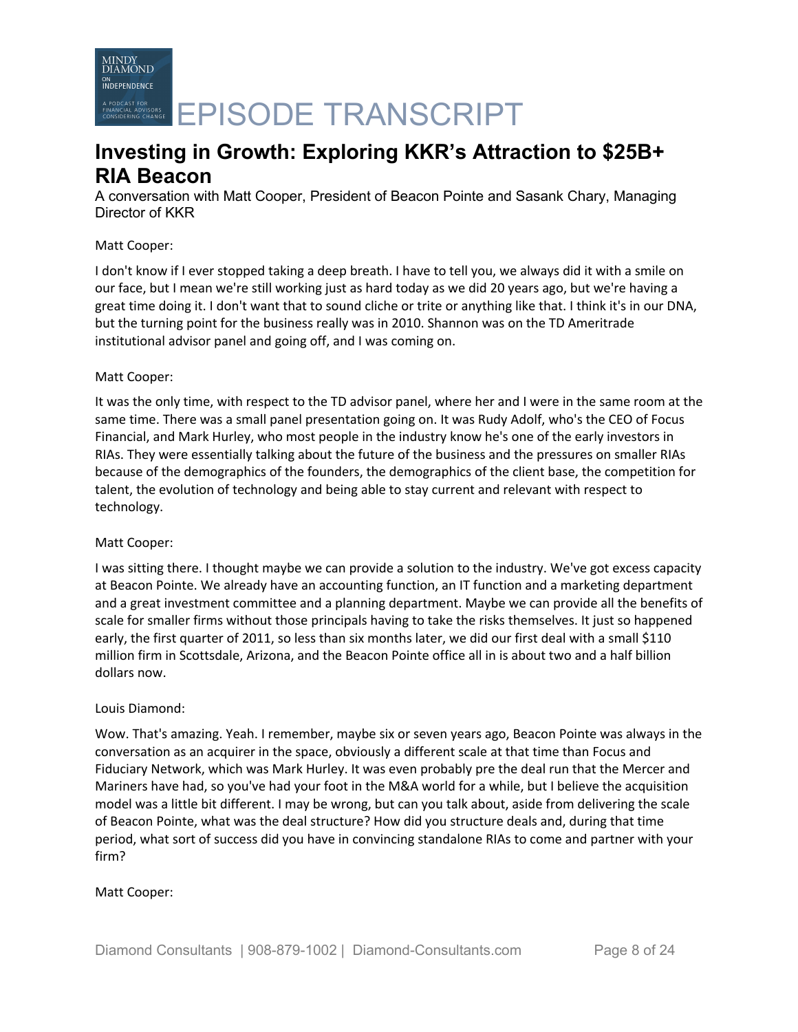

A PODCAST FOR CHARGE **EPISODE TRANSCRIPT** 

# **Investing in Growth: Exploring KKR's Attraction to \$25B+ RIA Beacon**

A conversation with Matt Cooper, President of Beacon Pointe and Sasank Chary, Managing Director of KKR

## Matt Cooper:

I don't know if I ever stopped taking a deep breath. I have to tell you, we always did it with a smile on our face, but I mean we're still working just as hard today as we did 20 years ago, but we're having a great time doing it. I don't want that to sound cliche or trite or anything like that. I think it's in our DNA, but the turning point for the business really was in 2010. Shannon was on the TD Ameritrade institutional advisor panel and going off, and I was coming on.

## Matt Cooper:

It was the only time, with respect to the TD advisor panel, where her and I were in the same room at the same time. There was a small panel presentation going on. It was Rudy Adolf, who's the CEO of Focus Financial, and Mark Hurley, who most people in the industry know he's one of the early investors in RIAs. They were essentially talking about the future of the business and the pressures on smaller RIAs because of the demographics of the founders, the demographics of the client base, the competition for talent, the evolution of technology and being able to stay current and relevant with respect to technology.

### Matt Cooper:

I was sitting there. I thought maybe we can provide a solution to the industry. We've got excess capacity at Beacon Pointe. We already have an accounting function, an IT function and a marketing department and a great investment committee and a planning department. Maybe we can provide all the benefits of scale for smaller firms without those principals having to take the risks themselves. It just so happened early, the first quarter of 2011, so less than six months later, we did our first deal with a small \$110 million firm in Scottsdale, Arizona, and the Beacon Pointe office all in is about two and a half billion dollars now.

### Louis Diamond:

Wow. That's amazing. Yeah. I remember, maybe six or seven years ago, Beacon Pointe was always in the conversation as an acquirer in the space, obviously a different scale at that time than Focus and Fiduciary Network, which was Mark Hurley. It was even probably pre the deal run that the Mercer and Mariners have had, so you've had your foot in the M&A world for a while, but I believe the acquisition model was a little bit different. I may be wrong, but can you talk about, aside from delivering the scale of Beacon Pointe, what was the deal structure? How did you structure deals and, during that time period, what sort of success did you have in convincing standalone RIAs to come and partner with your firm?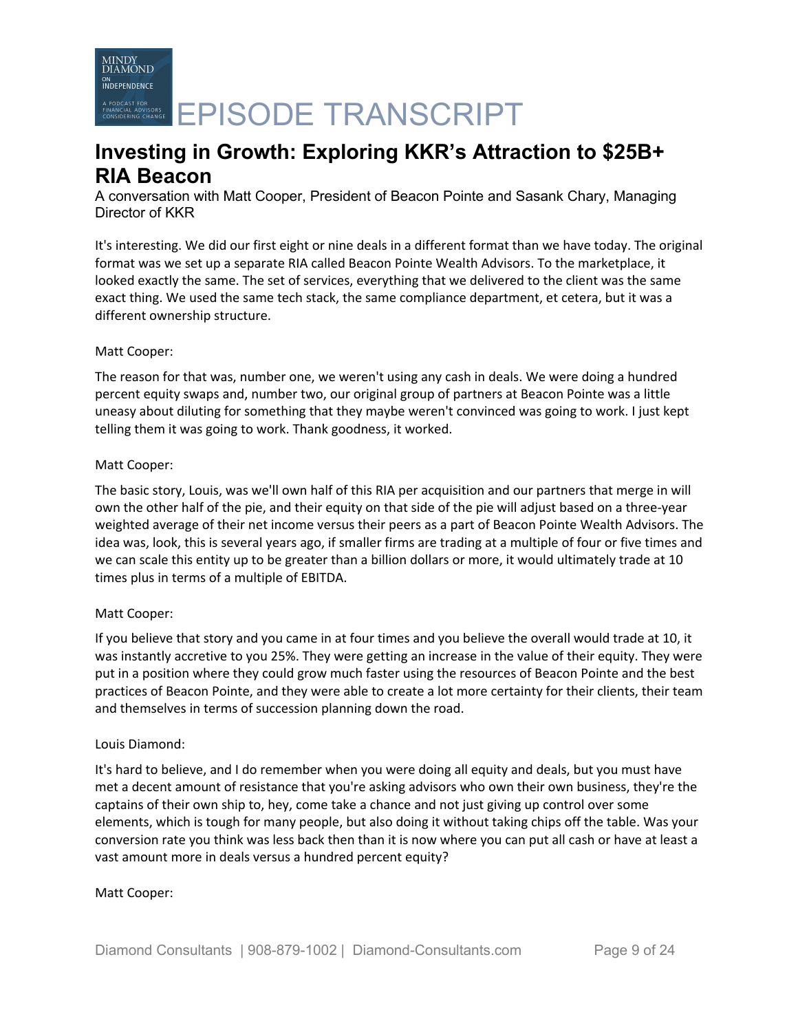A PODCAST FOR CHARGE **EPISODE TRANSCRIPT** 

# **Investing in Growth: Exploring KKR's Attraction to \$25B+ RIA Beacon**

A conversation with Matt Cooper, President of Beacon Pointe and Sasank Chary, Managing Director of KKR

It's interesting. We did our first eight or nine deals in a different format than we have today. The original format was we set up a separate RIA called Beacon Pointe Wealth Advisors. To the marketplace, it looked exactly the same. The set of services, everything that we delivered to the client was the same exact thing. We used the same tech stack, the same compliance department, et cetera, but it was a different ownership structure.

# Matt Cooper:

The reason for that was, number one, we weren't using any cash in deals. We were doing a hundred percent equity swaps and, number two, our original group of partners at Beacon Pointe was a little uneasy about diluting for something that they maybe weren't convinced was going to work. I just kept telling them it was going to work. Thank goodness, it worked.

# Matt Cooper:

The basic story, Louis, was we'll own half of this RIA per acquisition and our partners that merge in will own the other half of the pie, and their equity on that side of the pie will adjust based on a three-year weighted average of their net income versus their peers as a part of Beacon Pointe Wealth Advisors. The idea was, look, this is several years ago, if smaller firms are trading at a multiple of four or five times and we can scale this entity up to be greater than a billion dollars or more, it would ultimately trade at 10 times plus in terms of a multiple of EBITDA.

# Matt Cooper:

If you believe that story and you came in at four times and you believe the overall would trade at 10, it was instantly accretive to you 25%. They were getting an increase in the value of their equity. They were put in a position where they could grow much faster using the resources of Beacon Pointe and the best practices of Beacon Pointe, and they were able to create a lot more certainty for their clients, their team and themselves in terms of succession planning down the road.

# Louis Diamond:

It's hard to believe, and I do remember when you were doing all equity and deals, but you must have met a decent amount of resistance that you're asking advisors who own their own business, they're the captains of their own ship to, hey, come take a chance and not just giving up control over some elements, which is tough for many people, but also doing it without taking chips off the table. Was your conversion rate you think was less back then than it is now where you can put all cash or have at least a vast amount more in deals versus a hundred percent equity?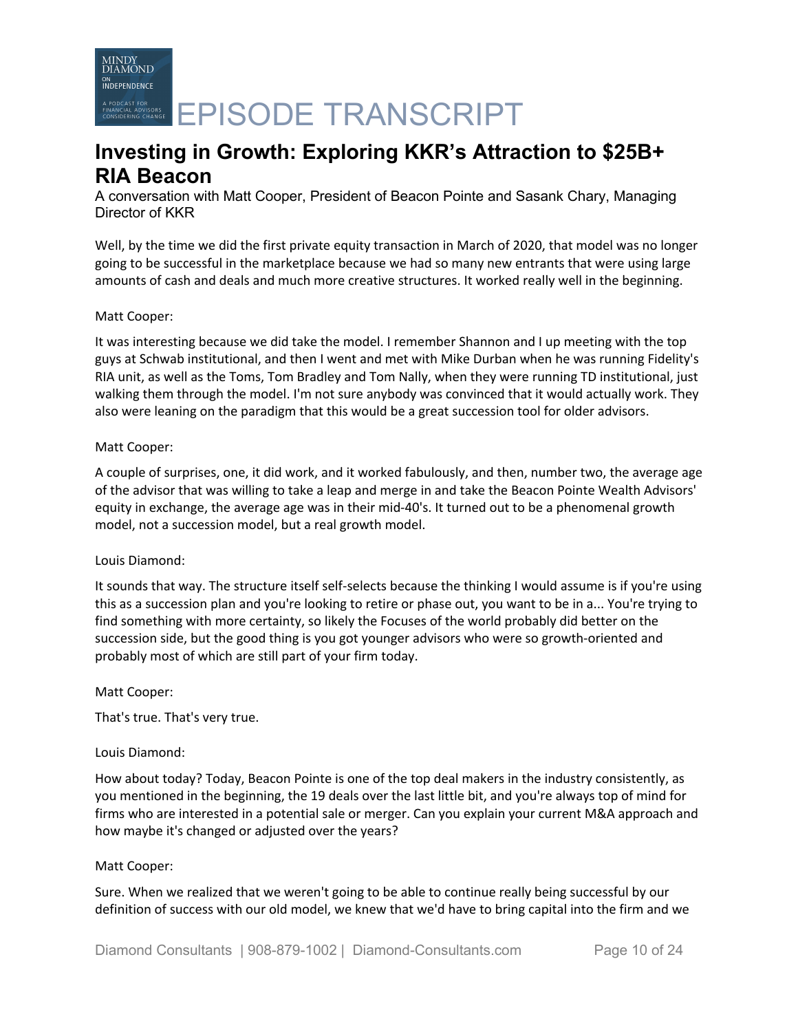**PODCAST FOR**<br>RESPECTIVE CHAVELER **EPISODE TRANSCRIPT** 

# **Investing in Growth: Exploring KKR's Attraction to \$25B+ RIA Beacon**

A conversation with Matt Cooper, President of Beacon Pointe and Sasank Chary, Managing Director of KKR

Well, by the time we did the first private equity transaction in March of 2020, that model was no longer going to be successful in the marketplace because we had so many new entrants that were using large amounts of cash and deals and much more creative structures. It worked really well in the beginning.

## Matt Cooper:

It was interesting because we did take the model. I remember Shannon and I up meeting with the top guys at Schwab institutional, and then I went and met with Mike Durban when he was running Fidelity's RIA unit, as well as the Toms, Tom Bradley and Tom Nally, when they were running TD institutional, just walking them through the model. I'm not sure anybody was convinced that it would actually work. They also were leaning on the paradigm that this would be a great succession tool for older advisors.

## Matt Cooper:

A couple of surprises, one, it did work, and it worked fabulously, and then, number two, the average age of the advisor that was willing to take a leap and merge in and take the Beacon Pointe Wealth Advisors' equity in exchange, the average age was in their mid-40's. It turned out to be a phenomenal growth model, not a succession model, but a real growth model.

# Louis Diamond:

It sounds that way. The structure itself self-selects because the thinking I would assume is if you're using this as a succession plan and you're looking to retire or phase out, you want to be in a... You're trying to find something with more certainty, so likely the Focuses of the world probably did better on the succession side, but the good thing is you got younger advisors who were so growth-oriented and probably most of which are still part of your firm today.

### Matt Cooper:

That's true. That's very true.

# Louis Diamond:

How about today? Today, Beacon Pointe is one of the top deal makers in the industry consistently, as you mentioned in the beginning, the 19 deals over the last little bit, and you're always top of mind for firms who are interested in a potential sale or merger. Can you explain your current M&A approach and how maybe it's changed or adjusted over the years?

### Matt Cooper:

Sure. When we realized that we weren't going to be able to continue really being successful by our definition of success with our old model, we knew that we'd have to bring capital into the firm and we

Diamond Consultants | 908-879-1002 | Diamond-Consultants.com Page 10 of 24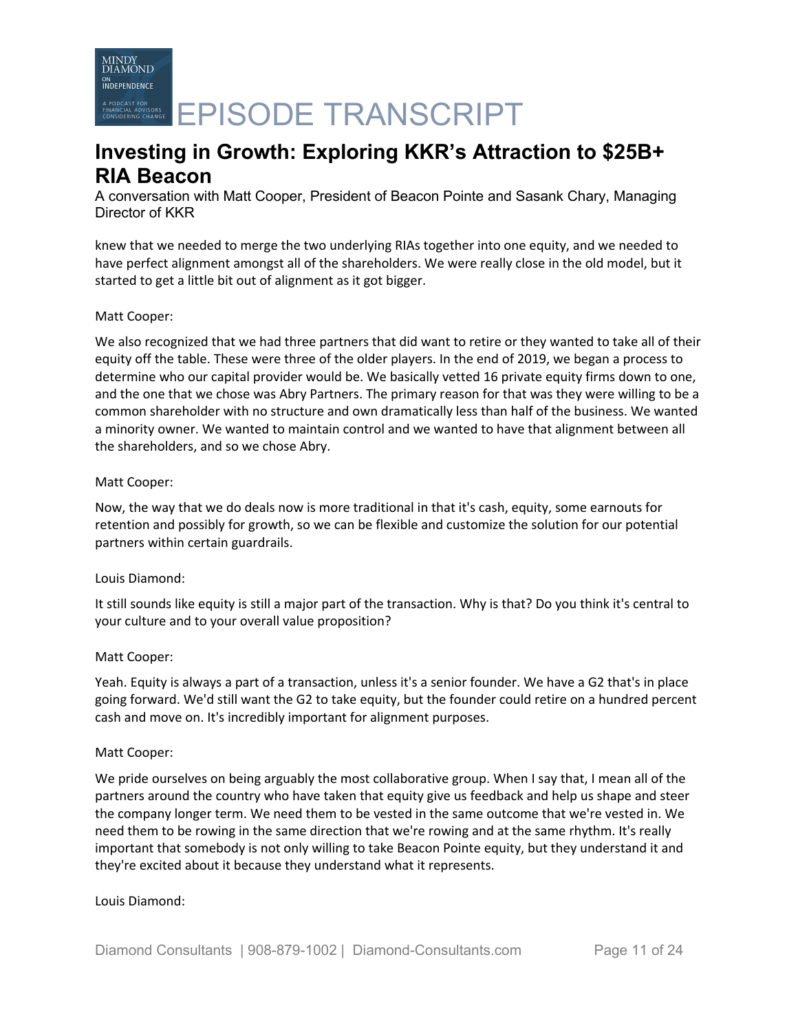A PODCAST FOR CHARGE **EPISODE TRANSCRIPT** 

# **Investing in Growth: Exploring KKR's Attraction to \$25B+ RIA Beacon**

A conversation with Matt Cooper, President of Beacon Pointe and Sasank Chary, Managing Director of KKR

knew that we needed to merge the two underlying RIAs together into one equity, and we needed to have perfect alignment amongst all of the shareholders. We were really close in the old model, but it started to get a little bit out of alignment as it got bigger.

## Matt Cooper:

We also recognized that we had three partners that did want to retire or they wanted to take all of their equity off the table. These were three of the older players. In the end of 2019, we began a process to determine who our capital provider would be. We basically vetted 16 private equity firms down to one, and the one that we chose was Abry Partners. The primary reason for that was they were willing to be a common shareholder with no structure and own dramatically less than half of the business. We wanted a minority owner. We wanted to maintain control and we wanted to have that alignment between all the shareholders, and so we chose Abry.

## Matt Cooper:

Now, the way that we do deals now is more traditional in that it's cash, equity, some earnouts for retention and possibly for growth, so we can be flexible and customize the solution for our potential partners within certain guardrails.

# Louis Diamond:

It still sounds like equity is still a major part of the transaction. Why is that? Do you think it's central to your culture and to your overall value proposition?

# Matt Cooper:

Yeah. Equity is always a part of a transaction, unless it's a senior founder. We have a G2 that's in place going forward. We'd still want the G2 to take equity, but the founder could retire on a hundred percent cash and move on. It's incredibly important for alignment purposes.

### Matt Cooper:

We pride ourselves on being arguably the most collaborative group. When I say that, I mean all of the partners around the country who have taken that equity give us feedback and help us shape and steer the company longer term. We need them to be vested in the same outcome that we're vested in. We need them to be rowing in the same direction that we're rowing and at the same rhythm. It's really important that somebody is not only willing to take Beacon Pointe equity, but they understand it and they're excited about it because they understand what it represents.

### Louis Diamond: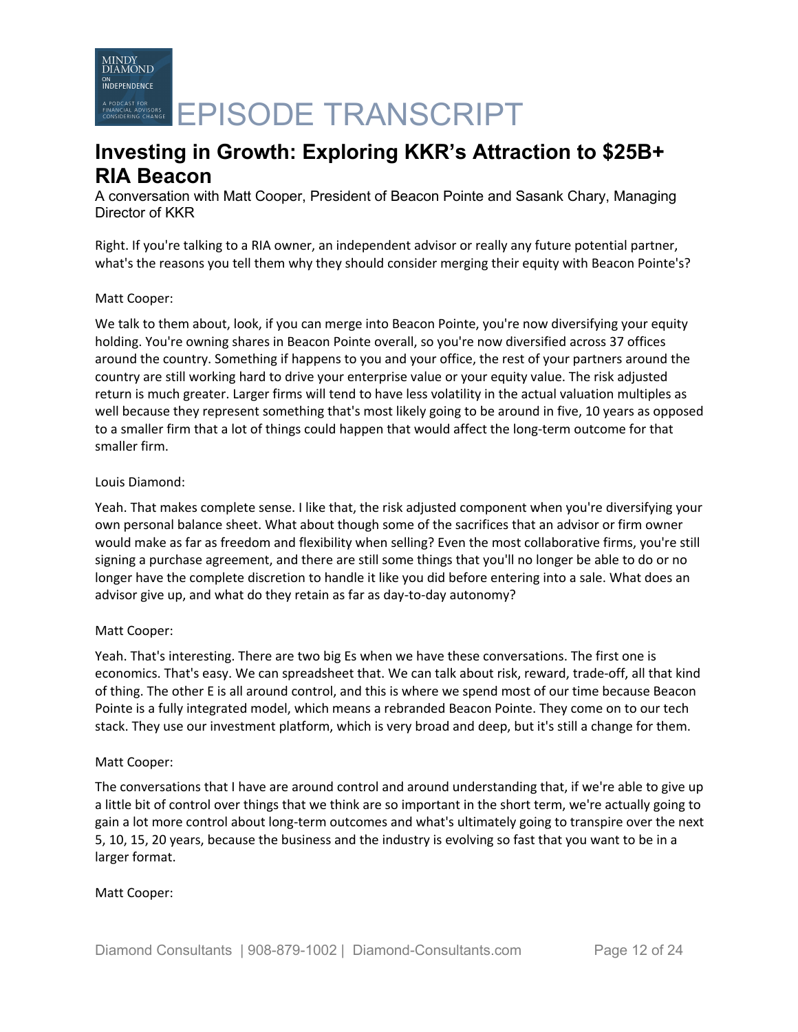**INDEPENDENCE** A PODCAST FOR CHARGE **EPISODE TRANSCRIPT** 

# **Investing in Growth: Exploring KKR's Attraction to \$25B+ RIA Beacon**

A conversation with Matt Cooper, President of Beacon Pointe and Sasank Chary, Managing Director of KKR

Right. If you're talking to a RIA owner, an independent advisor or really any future potential partner, what's the reasons you tell them why they should consider merging their equity with Beacon Pointe's?

# Matt Cooper:

MINDY<br>DIAMOND

We talk to them about, look, if you can merge into Beacon Pointe, you're now diversifying your equity holding. You're owning shares in Beacon Pointe overall, so you're now diversified across 37 offices around the country. Something if happens to you and your office, the rest of your partners around the country are still working hard to drive your enterprise value or your equity value. The risk adjusted return is much greater. Larger firms will tend to have less volatility in the actual valuation multiples as well because they represent something that's most likely going to be around in five, 10 years as opposed to a smaller firm that a lot of things could happen that would affect the long-term outcome for that smaller firm.

## Louis Diamond:

Yeah. That makes complete sense. I like that, the risk adjusted component when you're diversifying your own personal balance sheet. What about though some of the sacrifices that an advisor or firm owner would make as far as freedom and flexibility when selling? Even the most collaborative firms, you're still signing a purchase agreement, and there are still some things that you'll no longer be able to do or no longer have the complete discretion to handle it like you did before entering into a sale. What does an advisor give up, and what do they retain as far as day-to-day autonomy?

# Matt Cooper:

Yeah. That's interesting. There are two big Es when we have these conversations. The first one is economics. That's easy. We can spreadsheet that. We can talk about risk, reward, trade-off, all that kind of thing. The other E is all around control, and this is where we spend most of our time because Beacon Pointe is a fully integrated model, which means a rebranded Beacon Pointe. They come on to our tech stack. They use our investment platform, which is very broad and deep, but it's still a change for them.

### Matt Cooper:

The conversations that I have are around control and around understanding that, if we're able to give up a little bit of control over things that we think are so important in the short term, we're actually going to gain a lot more control about long-term outcomes and what's ultimately going to transpire over the next 5, 10, 15, 20 years, because the business and the industry is evolving so fast that you want to be in a larger format.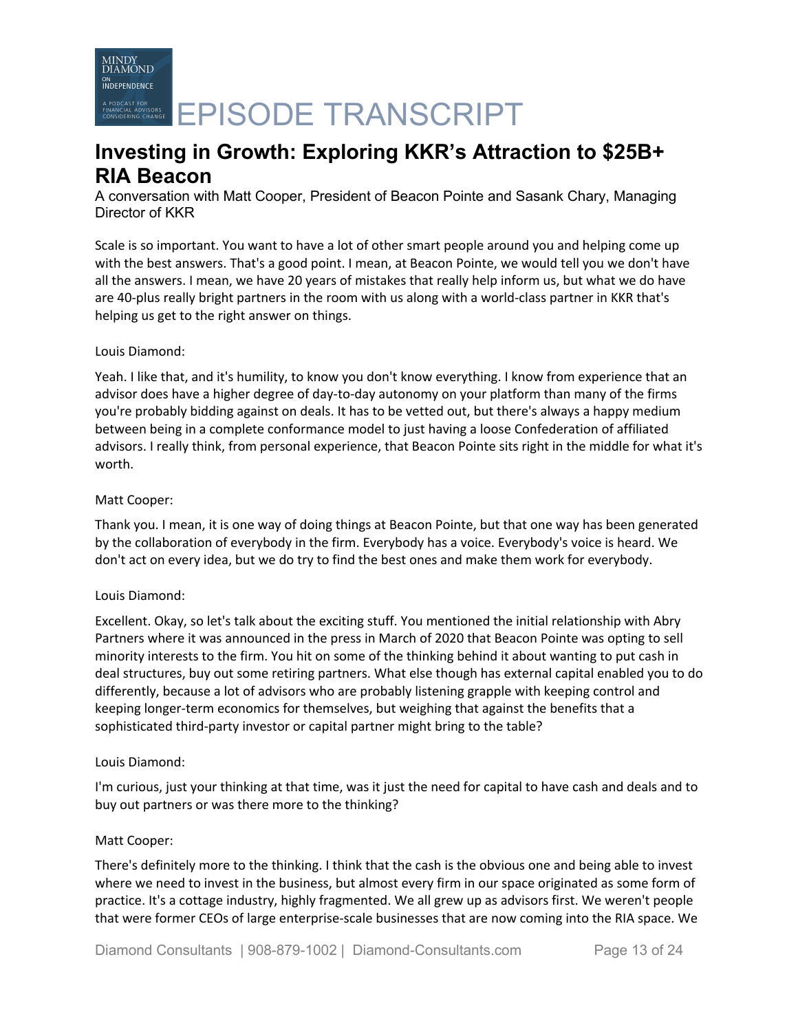A PODCAST FOR CRASH CRASH CRASH CRASH CRASH CRASH CRASH CRASH CRASH CRASH CRASH CRASH CRASH CRASH CRASH CRASH

# **Investing in Growth: Exploring KKR's Attraction to \$25B+ RIA Beacon**

A conversation with Matt Cooper, President of Beacon Pointe and Sasank Chary, Managing Director of KKR

Scale is so important. You want to have a lot of other smart people around you and helping come up with the best answers. That's a good point. I mean, at Beacon Pointe, we would tell you we don't have all the answers. I mean, we have 20 years of mistakes that really help inform us, but what we do have are 40-plus really bright partners in the room with us along with a world-class partner in KKR that's helping us get to the right answer on things.

# Louis Diamond:

Yeah. I like that, and it's humility, to know you don't know everything. I know from experience that an advisor does have a higher degree of day-to-day autonomy on your platform than many of the firms you're probably bidding against on deals. It has to be vetted out, but there's always a happy medium between being in a complete conformance model to just having a loose Confederation of affiliated advisors. I really think, from personal experience, that Beacon Pointe sits right in the middle for what it's worth.

## Matt Cooper:

Thank you. I mean, it is one way of doing things at Beacon Pointe, but that one way has been generated by the collaboration of everybody in the firm. Everybody has a voice. Everybody's voice is heard. We don't act on every idea, but we do try to find the best ones and make them work for everybody.

# Louis Diamond:

Excellent. Okay, so let's talk about the exciting stuff. You mentioned the initial relationship with Abry Partners where it was announced in the press in March of 2020 that Beacon Pointe was opting to sell minority interests to the firm. You hit on some of the thinking behind it about wanting to put cash in deal structures, buy out some retiring partners. What else though has external capital enabled you to do differently, because a lot of advisors who are probably listening grapple with keeping control and keeping longer-term economics for themselves, but weighing that against the benefits that a sophisticated third-party investor or capital partner might bring to the table?

### Louis Diamond:

I'm curious, just your thinking at that time, was it just the need for capital to have cash and deals and to buy out partners or was there more to the thinking?

### Matt Cooper:

There's definitely more to the thinking. I think that the cash is the obvious one and being able to invest where we need to invest in the business, but almost every firm in our space originated as some form of practice. It's a cottage industry, highly fragmented. We all grew up as advisors first. We weren't people that were former CEOs of large enterprise-scale businesses that are now coming into the RIA space. We

Diamond Consultants | 908-879-1002 | Diamond-Consultants.com Page 13 of 24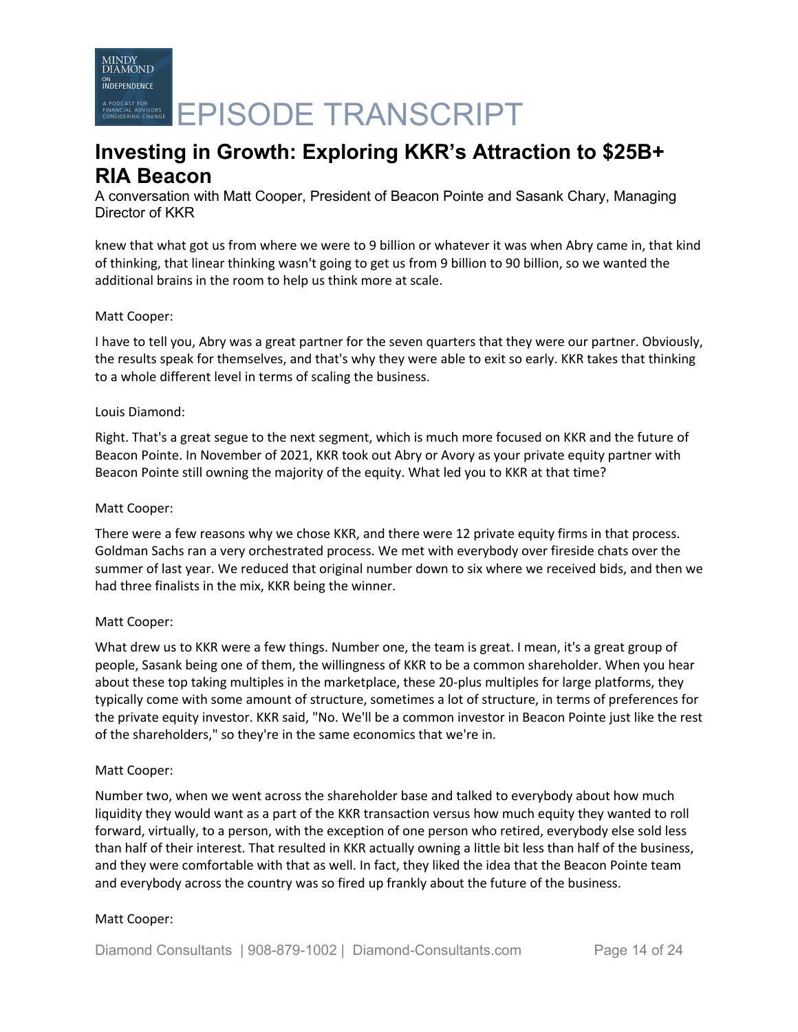MINDY<br>DIAMOND **INDEPENDENCE** A PODCAST FOR CHARGE **EPISODE TRANSCRIPT** 

# **Investing in Growth: Exploring KKR's Attraction to \$25B+ RIA Beacon**

A conversation with Matt Cooper, President of Beacon Pointe and Sasank Chary, Managing Director of KKR

knew that what got us from where we were to 9 billion or whatever it was when Abry came in, that kind of thinking, that linear thinking wasn't going to get us from 9 billion to 90 billion, so we wanted the additional brains in the room to help us think more at scale.

# Matt Cooper:

I have to tell you, Abry was a great partner for the seven quarters that they were our partner. Obviously, the results speak for themselves, and that's why they were able to exit so early. KKR takes that thinking to a whole different level in terms of scaling the business.

## Louis Diamond:

Right. That's a great segue to the next segment, which is much more focused on KKR and the future of Beacon Pointe. In November of 2021, KKR took out Abry or Avory as your private equity partner with Beacon Pointe still owning the majority of the equity. What led you to KKR at that time?

### Matt Cooper:

There were a few reasons why we chose KKR, and there were 12 private equity firms in that process. Goldman Sachs ran a very orchestrated process. We met with everybody over fireside chats over the summer of last year. We reduced that original number down to six where we received bids, and then we had three finalists in the mix, KKR being the winner.

# Matt Cooper:

What drew us to KKR were a few things. Number one, the team is great. I mean, it's a great group of people, Sasank being one of them, the willingness of KKR to be a common shareholder. When you hear about these top taking multiples in the marketplace, these 20-plus multiples for large platforms, they typically come with some amount of structure, sometimes a lot of structure, in terms of preferences for the private equity investor. KKR said, "No. We'll be a common investor in Beacon Pointe just like the rest of the shareholders," so they're in the same economics that we're in.

### Matt Cooper:

Number two, when we went across the shareholder base and talked to everybody about how much liquidity they would want as a part of the KKR transaction versus how much equity they wanted to roll forward, virtually, to a person, with the exception of one person who retired, everybody else sold less than half of their interest. That resulted in KKR actually owning a little bit less than half of the business, and they were comfortable with that as well. In fact, they liked the idea that the Beacon Pointe team and everybody across the country was so fired up frankly about the future of the business.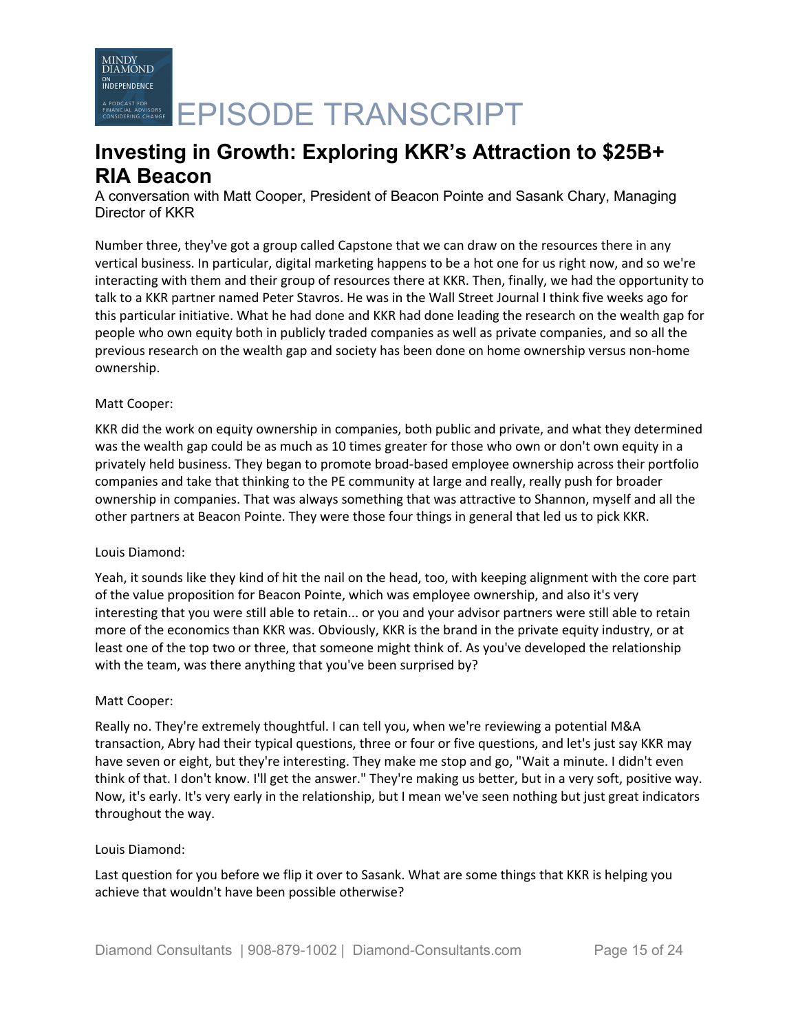A PODCAST FOR CRASH CRASH CRASH CRASH CRASH CRASH CRASH CRASH CRASH CRASH CRASH CRASH CRASH CRASH CRASH CRASH

# **Investing in Growth: Exploring KKR's Attraction to \$25B+ RIA Beacon**

A conversation with Matt Cooper, President of Beacon Pointe and Sasank Chary, Managing Director of KKR

Number three, they've got a group called Capstone that we can draw on the resources there in any vertical business. In particular, digital marketing happens to be a hot one for us right now, and so we're interacting with them and their group of resources there at KKR. Then, finally, we had the opportunity to talk to a KKR partner named Peter Stavros. He was in the Wall Street Journal I think five weeks ago for this particular initiative. What he had done and KKR had done leading the research on the wealth gap for people who own equity both in publicly traded companies as well as private companies, and so all the previous research on the wealth gap and society has been done on home ownership versus non-home ownership.

## Matt Cooper:

KKR did the work on equity ownership in companies, both public and private, and what they determined was the wealth gap could be as much as 10 times greater for those who own or don't own equity in a privately held business. They began to promote broad-based employee ownership across their portfolio companies and take that thinking to the PE community at large and really, really push for broader ownership in companies. That was always something that was attractive to Shannon, myself and all the other partners at Beacon Pointe. They were those four things in general that led us to pick KKR.

# Louis Diamond:

Yeah, it sounds like they kind of hit the nail on the head, too, with keeping alignment with the core part of the value proposition for Beacon Pointe, which was employee ownership, and also it's very interesting that you were still able to retain... or you and your advisor partners were still able to retain more of the economics than KKR was. Obviously, KKR is the brand in the private equity industry, or at least one of the top two or three, that someone might think of. As you've developed the relationship with the team, was there anything that you've been surprised by?

# Matt Cooper:

Really no. They're extremely thoughtful. I can tell you, when we're reviewing a potential M&A transaction, Abry had their typical questions, three or four or five questions, and let's just say KKR may have seven or eight, but they're interesting. They make me stop and go, "Wait a minute. I didn't even think of that. I don't know. I'll get the answer." They're making us better, but in a very soft, positive way. Now, it's early. It's very early in the relationship, but I mean we've seen nothing but just great indicators throughout the way.

### Louis Diamond:

Last question for you before we flip it over to Sasank. What are some things that KKR is helping you achieve that wouldn't have been possible otherwise?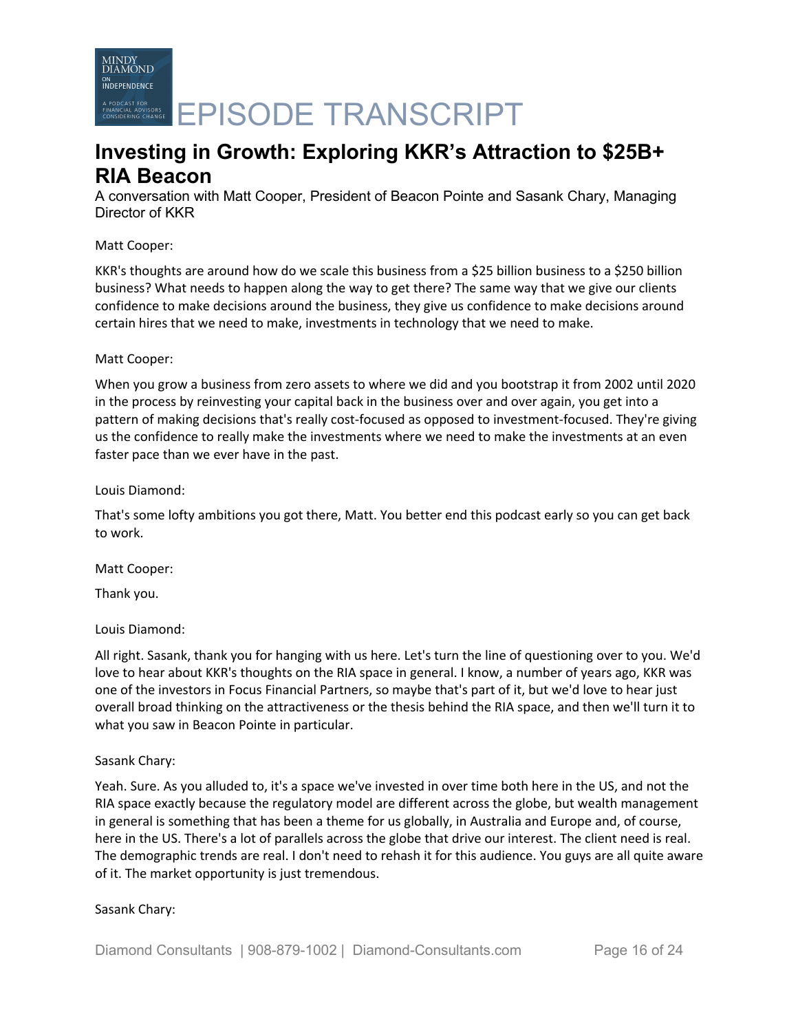

A PODCAST FOR CRANSCRIPT

# **Investing in Growth: Exploring KKR's Attraction to \$25B+ RIA Beacon**

A conversation with Matt Cooper, President of Beacon Pointe and Sasank Chary, Managing Director of KKR

## Matt Cooper:

KKR's thoughts are around how do we scale this business from a \$25 billion business to a \$250 billion business? What needs to happen along the way to get there? The same way that we give our clients confidence to make decisions around the business, they give us confidence to make decisions around certain hires that we need to make, investments in technology that we need to make.

### Matt Cooper:

When you grow a business from zero assets to where we did and you bootstrap it from 2002 until 2020 in the process by reinvesting your capital back in the business over and over again, you get into a pattern of making decisions that's really cost-focused as opposed to investment-focused. They're giving us the confidence to really make the investments where we need to make the investments at an even faster pace than we ever have in the past.

## Louis Diamond:

That's some lofty ambitions you got there, Matt. You better end this podcast early so you can get back to work.

### Matt Cooper:

Thank you.

# Louis Diamond:

All right. Sasank, thank you for hanging with us here. Let's turn the line of questioning over to you. We'd love to hear about KKR's thoughts on the RIA space in general. I know, a number of years ago, KKR was one of the investors in Focus Financial Partners, so maybe that's part of it, but we'd love to hear just overall broad thinking on the attractiveness or the thesis behind the RIA space, and then we'll turn it to what you saw in Beacon Pointe in particular.

# Sasank Chary:

Yeah. Sure. As you alluded to, it's a space we've invested in over time both here in the US, and not the RIA space exactly because the regulatory model are different across the globe, but wealth management in general is something that has been a theme for us globally, in Australia and Europe and, of course, here in the US. There's a lot of parallels across the globe that drive our interest. The client need is real. The demographic trends are real. I don't need to rehash it for this audience. You guys are all quite aware of it. The market opportunity is just tremendous.

### Sasank Chary: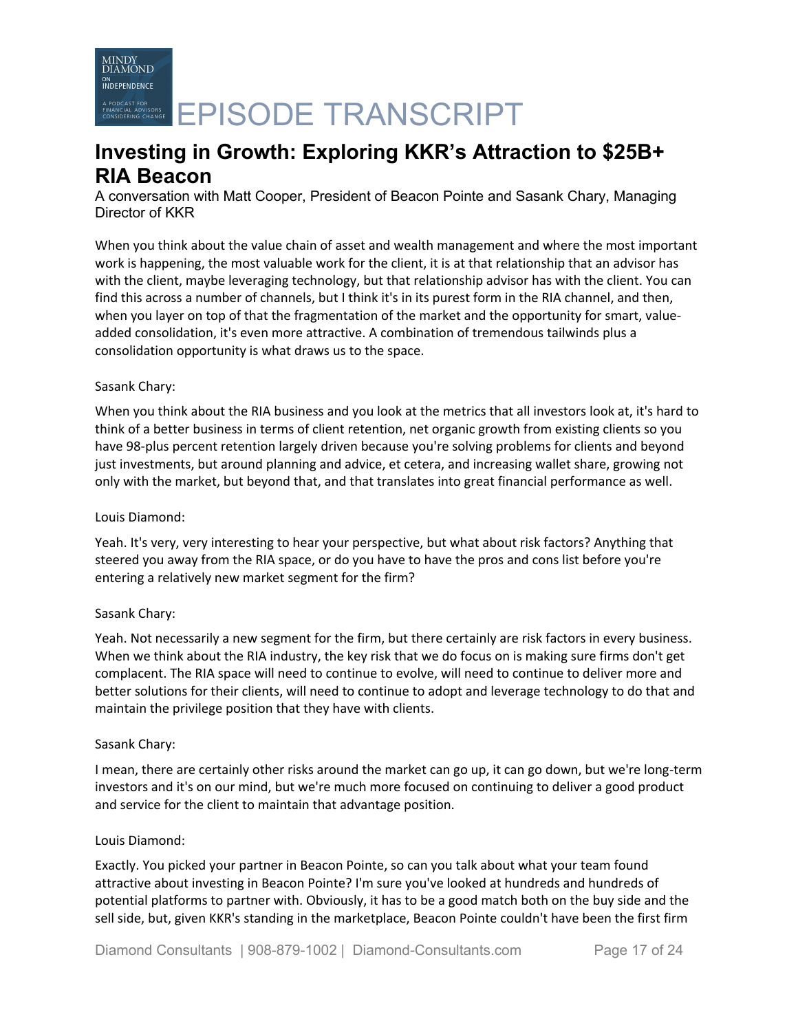A PODCAST FOR CRASH CRASH CRASH CRASH CRASH CRASH CRASH CRASH CRASH CRASH CRASH CRASH CRASH CRASH CRASH CRASH

# **Investing in Growth: Exploring KKR's Attraction to \$25B+ RIA Beacon**

A conversation with Matt Cooper, President of Beacon Pointe and Sasank Chary, Managing Director of KKR

When you think about the value chain of asset and wealth management and where the most important work is happening, the most valuable work for the client, it is at that relationship that an advisor has with the client, maybe leveraging technology, but that relationship advisor has with the client. You can find this across a number of channels, but I think it's in its purest form in the RIA channel, and then, when you layer on top of that the fragmentation of the market and the opportunity for smart, valueadded consolidation, it's even more attractive. A combination of tremendous tailwinds plus a consolidation opportunity is what draws us to the space.

# Sasank Chary:

When you think about the RIA business and you look at the metrics that all investors look at, it's hard to think of a better business in terms of client retention, net organic growth from existing clients so you have 98-plus percent retention largely driven because you're solving problems for clients and beyond just investments, but around planning and advice, et cetera, and increasing wallet share, growing not only with the market, but beyond that, and that translates into great financial performance as well.

# Louis Diamond:

Yeah. It's very, very interesting to hear your perspective, but what about risk factors? Anything that steered you away from the RIA space, or do you have to have the pros and cons list before you're entering a relatively new market segment for the firm?

# Sasank Chary:

Yeah. Not necessarily a new segment for the firm, but there certainly are risk factors in every business. When we think about the RIA industry, the key risk that we do focus on is making sure firms don't get complacent. The RIA space will need to continue to evolve, will need to continue to deliver more and better solutions for their clients, will need to continue to adopt and leverage technology to do that and maintain the privilege position that they have with clients.

# Sasank Chary:

I mean, there are certainly other risks around the market can go up, it can go down, but we're long-term investors and it's on our mind, but we're much more focused on continuing to deliver a good product and service for the client to maintain that advantage position.

### Louis Diamond:

Exactly. You picked your partner in Beacon Pointe, so can you talk about what your team found attractive about investing in Beacon Pointe? I'm sure you've looked at hundreds and hundreds of potential platforms to partner with. Obviously, it has to be a good match both on the buy side and the sell side, but, given KKR's standing in the marketplace, Beacon Pointe couldn't have been the first firm

Diamond Consultants | 908-879-1002 | Diamond-Consultants.com Page 17 of 24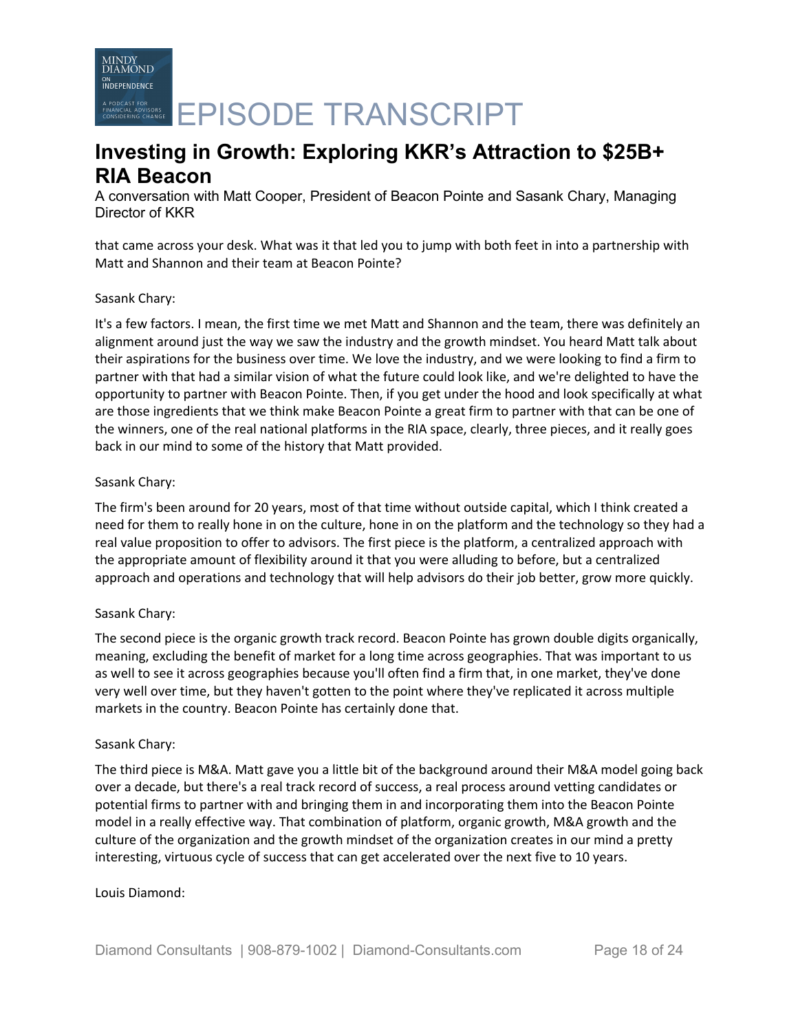A PODCAST FOR CRANSCRIPT

# **Investing in Growth: Exploring KKR's Attraction to \$25B+ RIA Beacon**

A conversation with Matt Cooper, President of Beacon Pointe and Sasank Chary, Managing Director of KKR

that came across your desk. What was it that led you to jump with both feet in into a partnership with Matt and Shannon and their team at Beacon Pointe?

## Sasank Chary:

It's a few factors. I mean, the first time we met Matt and Shannon and the team, there was definitely an alignment around just the way we saw the industry and the growth mindset. You heard Matt talk about their aspirations for the business over time. We love the industry, and we were looking to find a firm to partner with that had a similar vision of what the future could look like, and we're delighted to have the opportunity to partner with Beacon Pointe. Then, if you get under the hood and look specifically at what are those ingredients that we think make Beacon Pointe a great firm to partner with that can be one of the winners, one of the real national platforms in the RIA space, clearly, three pieces, and it really goes back in our mind to some of the history that Matt provided.

## Sasank Chary:

The firm's been around for 20 years, most of that time without outside capital, which I think created a need for them to really hone in on the culture, hone in on the platform and the technology so they had a real value proposition to offer to advisors. The first piece is the platform, a centralized approach with the appropriate amount of flexibility around it that you were alluding to before, but a centralized approach and operations and technology that will help advisors do their job better, grow more quickly.

# Sasank Chary:

The second piece is the organic growth track record. Beacon Pointe has grown double digits organically, meaning, excluding the benefit of market for a long time across geographies. That was important to us as well to see it across geographies because you'll often find a firm that, in one market, they've done very well over time, but they haven't gotten to the point where they've replicated it across multiple markets in the country. Beacon Pointe has certainly done that.

### Sasank Chary:

The third piece is M&A. Matt gave you a little bit of the background around their M&A model going back over a decade, but there's a real track record of success, a real process around vetting candidates or potential firms to partner with and bringing them in and incorporating them into the Beacon Pointe model in a really effective way. That combination of platform, organic growth, M&A growth and the culture of the organization and the growth mindset of the organization creates in our mind a pretty interesting, virtuous cycle of success that can get accelerated over the next five to 10 years.

### Louis Diamond: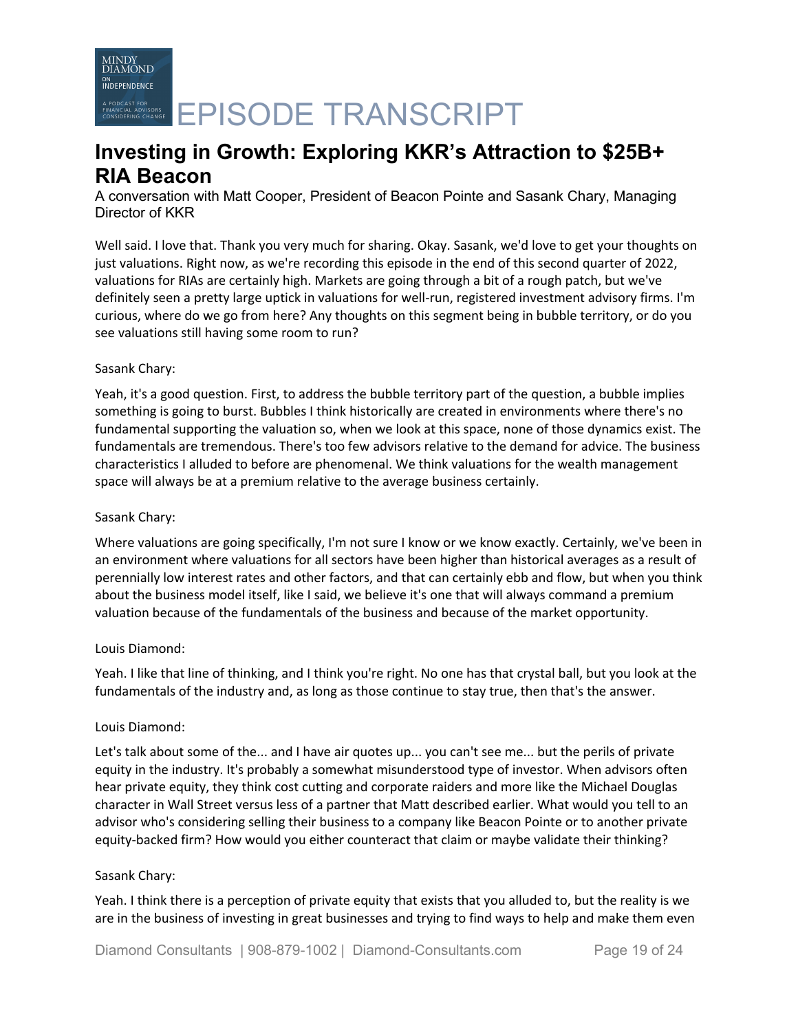A PODCAST FOR CHARGE **EPISODE TRANSCRIPT** 

# **Investing in Growth: Exploring KKR's Attraction to \$25B+ RIA Beacon**

A conversation with Matt Cooper, President of Beacon Pointe and Sasank Chary, Managing Director of KKR

Well said. I love that. Thank you very much for sharing. Okay. Sasank, we'd love to get your thoughts on just valuations. Right now, as we're recording this episode in the end of this second quarter of 2022, valuations for RIAs are certainly high. Markets are going through a bit of a rough patch, but we've definitely seen a pretty large uptick in valuations for well-run, registered investment advisory firms. I'm curious, where do we go from here? Any thoughts on this segment being in bubble territory, or do you see valuations still having some room to run?

# Sasank Chary:

Yeah, it's a good question. First, to address the bubble territory part of the question, a bubble implies something is going to burst. Bubbles I think historically are created in environments where there's no fundamental supporting the valuation so, when we look at this space, none of those dynamics exist. The fundamentals are tremendous. There's too few advisors relative to the demand for advice. The business characteristics I alluded to before are phenomenal. We think valuations for the wealth management space will always be at a premium relative to the average business certainly.

# Sasank Chary:

Where valuations are going specifically, I'm not sure I know or we know exactly. Certainly, we've been in an environment where valuations for all sectors have been higher than historical averages as a result of perennially low interest rates and other factors, and that can certainly ebb and flow, but when you think about the business model itself, like I said, we believe it's one that will always command a premium valuation because of the fundamentals of the business and because of the market opportunity.

# Louis Diamond:

Yeah. I like that line of thinking, and I think you're right. No one has that crystal ball, but you look at the fundamentals of the industry and, as long as those continue to stay true, then that's the answer.

# Louis Diamond:

Let's talk about some of the... and I have air quotes up... you can't see me... but the perils of private equity in the industry. It's probably a somewhat misunderstood type of investor. When advisors often hear private equity, they think cost cutting and corporate raiders and more like the Michael Douglas character in Wall Street versus less of a partner that Matt described earlier. What would you tell to an advisor who's considering selling their business to a company like Beacon Pointe or to another private equity-backed firm? How would you either counteract that claim or maybe validate their thinking?

# Sasank Chary:

Yeah. I think there is a perception of private equity that exists that you alluded to, but the reality is we are in the business of investing in great businesses and trying to find ways to help and make them even

Diamond Consultants | 908-879-1002 | Diamond-Consultants.com Page 19 of 24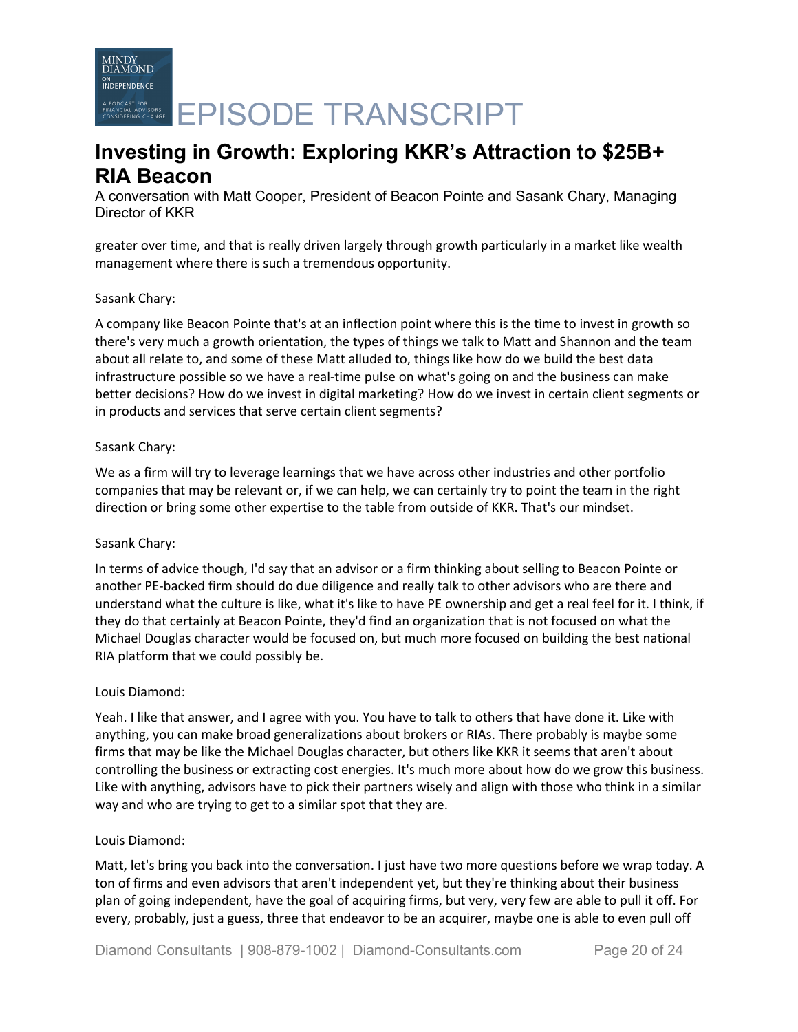A PODCAST FOR CHARGE **EPISODE TRANSCRIPT** 

# **Investing in Growth: Exploring KKR's Attraction to \$25B+ RIA Beacon**

A conversation with Matt Cooper, President of Beacon Pointe and Sasank Chary, Managing Director of KKR

greater over time, and that is really driven largely through growth particularly in a market like wealth management where there is such a tremendous opportunity.

## Sasank Chary:

A company like Beacon Pointe that's at an inflection point where this is the time to invest in growth so there's very much a growth orientation, the types of things we talk to Matt and Shannon and the team about all relate to, and some of these Matt alluded to, things like how do we build the best data infrastructure possible so we have a real-time pulse on what's going on and the business can make better decisions? How do we invest in digital marketing? How do we invest in certain client segments or in products and services that serve certain client segments?

## Sasank Chary:

We as a firm will try to leverage learnings that we have across other industries and other portfolio companies that may be relevant or, if we can help, we can certainly try to point the team in the right direction or bring some other expertise to the table from outside of KKR. That's our mindset.

### Sasank Chary:

In terms of advice though, I'd say that an advisor or a firm thinking about selling to Beacon Pointe or another PE-backed firm should do due diligence and really talk to other advisors who are there and understand what the culture is like, what it's like to have PE ownership and get a real feel for it. I think, if they do that certainly at Beacon Pointe, they'd find an organization that is not focused on what the Michael Douglas character would be focused on, but much more focused on building the best national RIA platform that we could possibly be.

# Louis Diamond:

Yeah. I like that answer, and I agree with you. You have to talk to others that have done it. Like with anything, you can make broad generalizations about brokers or RIAs. There probably is maybe some firms that may be like the Michael Douglas character, but others like KKR it seems that aren't about controlling the business or extracting cost energies. It's much more about how do we grow this business. Like with anything, advisors have to pick their partners wisely and align with those who think in a similar way and who are trying to get to a similar spot that they are.

### Louis Diamond:

Matt, let's bring you back into the conversation. I just have two more questions before we wrap today. A ton of firms and even advisors that aren't independent yet, but they're thinking about their business plan of going independent, have the goal of acquiring firms, but very, very few are able to pull it off. For every, probably, just a guess, three that endeavor to be an acquirer, maybe one is able to even pull off

Diamond Consultants | 908-879-1002 | Diamond-Consultants.com Page 20 of 24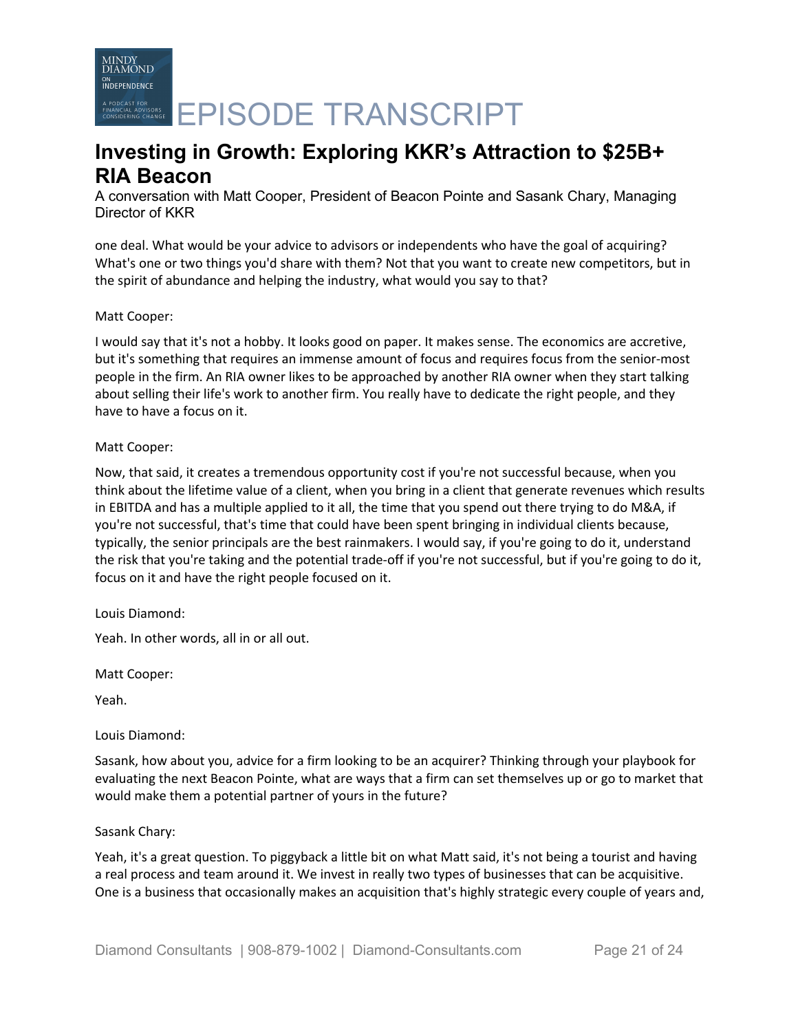A PODCAST FOR CHARGE **EPISODE TRANSCRIPT** 

# **Investing in Growth: Exploring KKR's Attraction to \$25B+ RIA Beacon**

A conversation with Matt Cooper, President of Beacon Pointe and Sasank Chary, Managing Director of KKR

one deal. What would be your advice to advisors or independents who have the goal of acquiring? What's one or two things you'd share with them? Not that you want to create new competitors, but in the spirit of abundance and helping the industry, what would you say to that?

## Matt Cooper:

I would say that it's not a hobby. It looks good on paper. It makes sense. The economics are accretive, but it's something that requires an immense amount of focus and requires focus from the senior-most people in the firm. An RIA owner likes to be approached by another RIA owner when they start talking about selling their life's work to another firm. You really have to dedicate the right people, and they have to have a focus on it.

## Matt Cooper:

Now, that said, it creates a tremendous opportunity cost if you're not successful because, when you think about the lifetime value of a client, when you bring in a client that generate revenues which results in EBITDA and has a multiple applied to it all, the time that you spend out there trying to do M&A, if you're not successful, that's time that could have been spent bringing in individual clients because, typically, the senior principals are the best rainmakers. I would say, if you're going to do it, understand the risk that you're taking and the potential trade-off if you're not successful, but if you're going to do it, focus on it and have the right people focused on it.

Louis Diamond:

Yeah. In other words, all in or all out.

Matt Cooper:

Yeah.

# Louis Diamond:

Sasank, how about you, advice for a firm looking to be an acquirer? Thinking through your playbook for evaluating the next Beacon Pointe, what are ways that a firm can set themselves up or go to market that would make them a potential partner of yours in the future?

### Sasank Chary:

Yeah, it's a great question. To piggyback a little bit on what Matt said, it's not being a tourist and having a real process and team around it. We invest in really two types of businesses that can be acquisitive. One is a business that occasionally makes an acquisition that's highly strategic every couple of years and,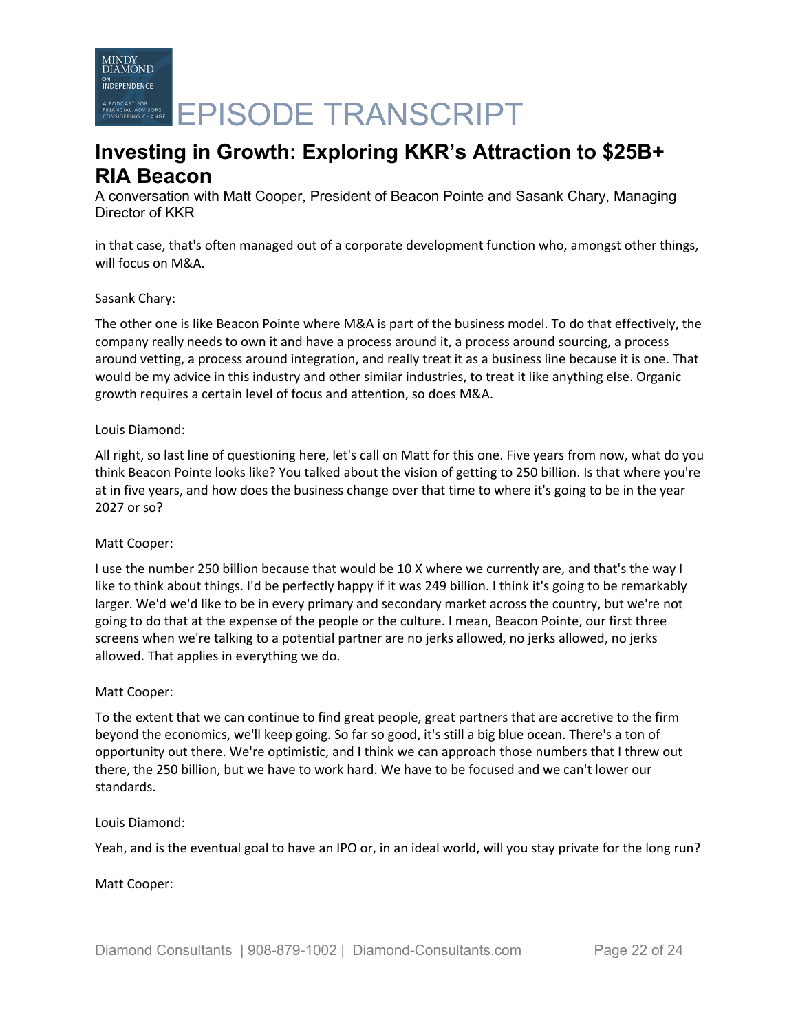**INDEPENDENCE PODCAST FOR**<br>RESPECTIVE CHAVELER **EPISODE TRANSCRIPT** 

# **Investing in Growth: Exploring KKR's Attraction to \$25B+ RIA Beacon**

A conversation with Matt Cooper, President of Beacon Pointe and Sasank Chary, Managing Director of KKR

in that case, that's often managed out of a corporate development function who, amongst other things, will focus on M&A.

# Sasank Chary:

MINDY<br>DIAMOND

The other one is like Beacon Pointe where M&A is part of the business model. To do that effectively, the company really needs to own it and have a process around it, a process around sourcing, a process around vetting, a process around integration, and really treat it as a business line because it is one. That would be my advice in this industry and other similar industries, to treat it like anything else. Organic growth requires a certain level of focus and attention, so does M&A.

# Louis Diamond:

All right, so last line of questioning here, let's call on Matt for this one. Five years from now, what do you think Beacon Pointe looks like? You talked about the vision of getting to 250 billion. Is that where you're at in five years, and how does the business change over that time to where it's going to be in the year 2027 or so?

# Matt Cooper:

I use the number 250 billion because that would be 10 X where we currently are, and that's the way I like to think about things. I'd be perfectly happy if it was 249 billion. I think it's going to be remarkably larger. We'd we'd like to be in every primary and secondary market across the country, but we're not going to do that at the expense of the people or the culture. I mean, Beacon Pointe, our first three screens when we're talking to a potential partner are no jerks allowed, no jerks allowed, no jerks allowed. That applies in everything we do.

# Matt Cooper:

To the extent that we can continue to find great people, great partners that are accretive to the firm beyond the economics, we'll keep going. So far so good, it's still a big blue ocean. There's a ton of opportunity out there. We're optimistic, and I think we can approach those numbers that I threw out there, the 250 billion, but we have to work hard. We have to be focused and we can't lower our standards.

### Louis Diamond:

Yeah, and is the eventual goal to have an IPO or, in an ideal world, will you stay private for the long run?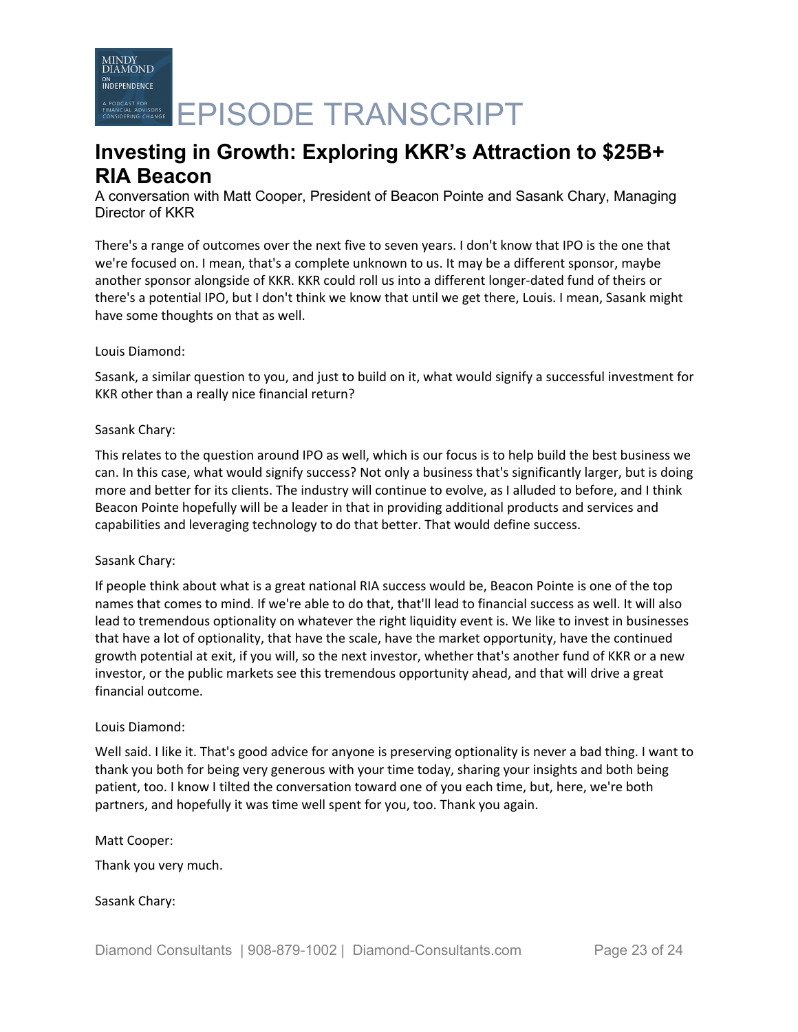**PODCAST FOR**<br>RESPECTIVE CHAVELER **EPISODE TRANSCRIPT** 

# **Investing in Growth: Exploring KKR's Attraction to \$25B+ RIA Beacon**

A conversation with Matt Cooper, President of Beacon Pointe and Sasank Chary, Managing Director of KKR

There's a range of outcomes over the next five to seven years. I don't know that IPO is the one that we're focused on. I mean, that's a complete unknown to us. It may be a different sponsor, maybe another sponsor alongside of KKR. KKR could roll us into a different longer-dated fund of theirs or there's a potential IPO, but I don't think we know that until we get there, Louis. I mean, Sasank might have some thoughts on that as well.

# Louis Diamond:

Sasank, a similar question to you, and just to build on it, what would signify a successful investment for KKR other than a really nice financial return?

# Sasank Chary:

This relates to the question around IPO as well, which is our focus is to help build the best business we can. In this case, what would signify success? Not only a business that's significantly larger, but is doing more and better for its clients. The industry will continue to evolve, as I alluded to before, and I think Beacon Pointe hopefully will be a leader in that in providing additional products and services and capabilities and leveraging technology to do that better. That would define success.

# Sasank Chary:

If people think about what is a great national RIA success would be, Beacon Pointe is one of the top names that comes to mind. If we're able to do that, that'll lead to financial success as well. It will also lead to tremendous optionality on whatever the right liquidity event is. We like to invest in businesses that have a lot of optionality, that have the scale, have the market opportunity, have the continued growth potential at exit, if you will, so the next investor, whether that's another fund of KKR or a new investor, or the public markets see this tremendous opportunity ahead, and that will drive a great financial outcome.

# Louis Diamond:

Well said. I like it. That's good advice for anyone is preserving optionality is never a bad thing. I want to thank you both for being very generous with your time today, sharing your insights and both being patient, too. I know I tilted the conversation toward one of you each time, but, here, we're both partners, and hopefully it was time well spent for you, too. Thank you again.

# Matt Cooper:

Thank you very much.

# Sasank Chary: